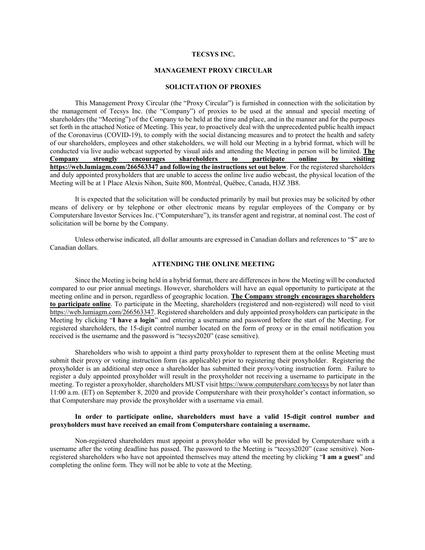#### **TECSYS INC.**

## **MANAGEMENT PROXY CIRCULAR**

### **SOLICITATION OF PROXIES**

This Management Proxy Circular (the "Proxy Circular") is furnished in connection with the solicitation by the management of Tecsys Inc. (the "Company") of proxies to be used at the annual and special meeting of shareholders (the "Meeting") of the Company to be held at the time and place, and in the manner and for the purposes set forth in the attached Notice of Meeting. This year, to proactively deal with the unprecedented public health impact of the Coronavirus (COVID-19), to comply with the social distancing measures and to protect the health and safety of our shareholders, employees and other stakeholders, we will hold our Meeting in a hybrid format, which will be conducted via live audio webcast supported by visual aids and attending the Meeting in person will be limited. **The Company strongly encourages shareholders to participate online by visiting https://web.lumiagm.com/266563347 and following the instructions set out below**. For the registered shareholders and duly appointed proxyholders that are unable to access the online live audio webcast, the physical location of the Meeting will be at 1 Place Alexis Nihon, Suite 800, Montréal, Québec, Canada, H3Z 3B8.

It is expected that the solicitation will be conducted primarily by mail but proxies may be solicited by other means of delivery or by telephone or other electronic means by regular employees of the Company or by Computershare Investor Services Inc. ("Computershare"), its transfer agent and registrar, at nominal cost. The cost of solicitation will be borne by the Company.

Unless otherwise indicated, all dollar amounts are expressed in Canadian dollars and references to "\$" are to Canadian dollars.

## **ATTENDING THE ONLINE MEETING**

Since the Meeting is being held in a hybrid format, there are differences in how the Meeting will be conducted compared to our prior annual meetings. However, shareholders will have an equal opportunity to participate at the meeting online and in person, regardless of geographic location. **The Company strongly encourages shareholders to participate online**. To participate in the Meeting, shareholders (registered and non-registered) will need to visit https://web.lumiagm.com/266563347. Registered shareholders and duly appointed proxyholders can participate in the Meeting by clicking "**I have a login**" and entering a username and password before the start of the Meeting. For registered shareholders, the 15-digit control number located on the form of proxy or in the email notification you received is the username and the password is "tecsys2020" (case sensitive).

Shareholders who wish to appoint a third party proxyholder to represent them at the online Meeting must submit their proxy or voting instruction form (as applicable) prior to registering their proxyholder. Registering the proxyholder is an additional step once a shareholder has submitted their proxy/voting instruction form. Failure to register a duly appointed proxyholder will result in the proxyholder not receiving a username to participate in the meeting. To register a proxyholder, shareholders MUST visit https://www.computershare.com/tecsys by not later than 11:00 a.m. (ET) on September 8, 2020 and provide Computershare with their proxyholder's contact information, so that Computershare may provide the proxyholder with a username via email.

## **In order to participate online, shareholders must have a valid 15-digit control number and proxyholders must have received an email from Computershare containing a username.**

Non-registered shareholders must appoint a proxyholder who will be provided by Computershare with a username after the voting deadline has passed. The password to the Meeting is "tecsys2020" (case sensitive). Nonregistered shareholders who have not appointed themselves may attend the meeting by clicking "**I am a guest**" and completing the online form. They will not be able to vote at the Meeting.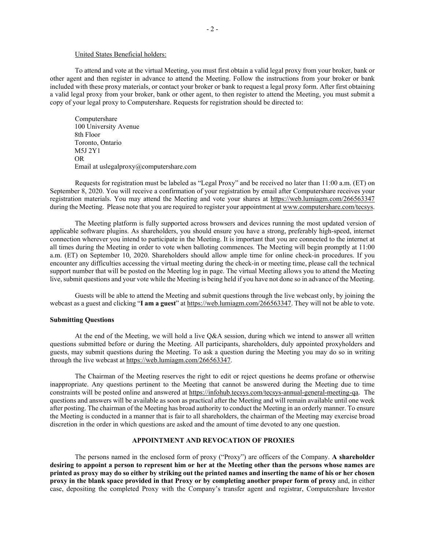#### United States Beneficial holders:

To attend and vote at the virtual Meeting, you must first obtain a valid legal proxy from your broker, bank or other agent and then register in advance to attend the Meeting. Follow the instructions from your broker or bank included with these proxy materials, or contact your broker or bank to request a legal proxy form. After first obtaining a valid legal proxy from your broker, bank or other agent, to then register to attend the Meeting, you must submit a copy of your legal proxy to Computershare. Requests for registration should be directed to:

Computershare 100 University Avenue 8th Floor Toronto, Ontario M5J 2Y1 OR Email at uslegalproxy@computershare.com

Requests for registration must be labeled as "Legal Proxy" and be received no later than 11:00 a.m. (ET) on September 8, 2020. You will receive a confirmation of your registration by email after Computershare receives your registration materials. You may attend the Meeting and vote your shares at https://web.lumiagm.com/266563347 during the Meeting. Please note that you are required to register your appointment at www.computershare.com/tecsys.

The Meeting platform is fully supported across browsers and devices running the most updated version of applicable software plugins. As shareholders, you should ensure you have a strong, preferably high-speed, internet connection wherever you intend to participate in the Meeting. It is important that you are connected to the internet at all times during the Meeting in order to vote when balloting commences. The Meeting will begin promptly at 11:00 a.m. (ET) on September 10, 2020. Shareholders should allow ample time for online check-in procedures. If you encounter any difficulties accessing the virtual meeting during the check-in or meeting time, please call the technical support number that will be posted on the Meeting log in page. The virtual Meeting allows you to attend the Meeting live, submit questions and your vote while the Meeting is being held if you have not done so in advance of the Meeting.

Guests will be able to attend the Meeting and submit questions through the live webcast only, by joining the webcast as a guest and clicking "**I am a guest**" at https://web.lumiagm.com/266563347. They will not be able to vote.

## **Submitting Questions**

At the end of the Meeting, we will hold a live Q&A session, during which we intend to answer all written questions submitted before or during the Meeting. All participants, shareholders, duly appointed proxyholders and guests, may submit questions during the Meeting. To ask a question during the Meeting you may do so in writing through the live webcast at https://web.lumiagm.com/266563347.

The Chairman of the Meeting reserves the right to edit or reject questions he deems profane or otherwise inappropriate. Any questions pertinent to the Meeting that cannot be answered during the Meeting due to time constraints will be posted online and answered at https://infohub.tecsys.com/tecsys-annual-general-meeting-qa. The questions and answers will be available as soon as practical after the Meeting and will remain available until one week after posting. The chairman of the Meeting has broad authority to conduct the Meeting in an orderly manner. To ensure the Meeting is conducted in a manner that is fair to all shareholders, the chairman of the Meeting may exercise broad discretion in the order in which questions are asked and the amount of time devoted to any one question.

## **APPOINTMENT AND REVOCATION OF PROXIES**

The persons named in the enclosed form of proxy ("Proxy") are officers of the Company. **A shareholder desiring to appoint a person to represent him or her at the Meeting other than the persons whose names are printed as proxy may do so either by striking out the printed names and inserting the name of his or her chosen proxy in the blank space provided in that Proxy or by completing another proper form of proxy** and, in either case, depositing the completed Proxy with the Company's transfer agent and registrar, Computershare Investor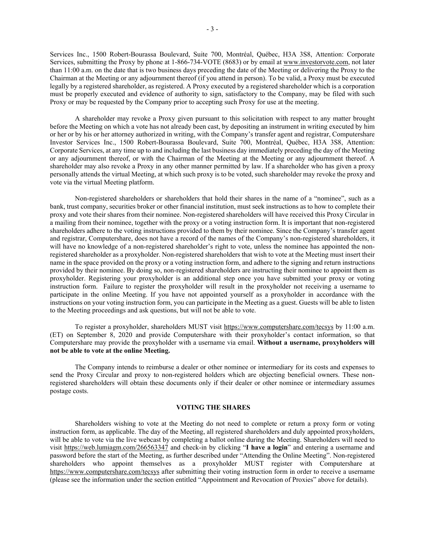Services Inc., 1500 Robert-Bourassa Boulevard, Suite 700, Montréal, Québec, H3A 3S8, Attention: Corporate Services, submitting the Proxy by phone at 1-866-734-VOTE (8683) or by email at www.investorvote.com, not later than 11:00 a.m. on the date that is two business days preceding the date of the Meeting or delivering the Proxy to the Chairman at the Meeting or any adjournment thereof (if you attend in person). To be valid, a Proxy must be executed legally by a registered shareholder, as registered. A Proxy executed by a registered shareholder which is a corporation must be properly executed and evidence of authority to sign, satisfactory to the Company, may be filed with such Proxy or may be requested by the Company prior to accepting such Proxy for use at the meeting.

A shareholder may revoke a Proxy given pursuant to this solicitation with respect to any matter brought before the Meeting on which a vote has not already been cast, by depositing an instrument in writing executed by him or her or by his or her attorney authorized in writing, with the Company's transfer agent and registrar, Computershare Investor Services Inc., 1500 Robert-Bourassa Boulevard, Suite 700, Montréal, Québec, H3A 3S8, Attention: Corporate Services, at any time up to and including the last business day immediately preceding the day of the Meeting or any adjournment thereof, or with the Chairman of the Meeting at the Meeting or any adjournment thereof. A shareholder may also revoke a Proxy in any other manner permitted by law. If a shareholder who has given a proxy personally attends the virtual Meeting, at which such proxy is to be voted, such shareholder may revoke the proxy and vote via the virtual Meeting platform.

Non-registered shareholders or shareholders that hold their shares in the name of a "nominee", such as a bank, trust company, securities broker or other financial institution, must seek instructions as to how to complete their proxy and vote their shares from their nominee. Non-registered shareholders will have received this Proxy Circular in a mailing from their nominee, together with the proxy or a voting instruction form. It is important that non-registered shareholders adhere to the voting instructions provided to them by their nominee. Since the Company's transfer agent and registrar, Computershare, does not have a record of the names of the Company's non-registered shareholders, it will have no knowledge of a non-registered shareholder's right to vote, unless the nominee has appointed the nonregistered shareholder as a proxyholder. Non-registered shareholders that wish to vote at the Meeting must insert their name in the space provided on the proxy or a voting instruction form, and adhere to the signing and return instructions provided by their nominee. By doing so, non-registered shareholders are instructing their nominee to appoint them as proxyholder. Registering your proxyholder is an additional step once you have submitted your proxy or voting instruction form. Failure to register the proxyholder will result in the proxyholder not receiving a username to participate in the online Meeting. If you have not appointed yourself as a proxyholder in accordance with the instructions on your voting instruction form, you can participate in the Meeting as a guest. Guests will be able to listen to the Meeting proceedings and ask questions, but will not be able to vote.

To register a proxyholder, shareholders MUST visit https://www.computershare.com/tecsys by 11:00 a.m. (ET) on September 8, 2020 and provide Computershare with their proxyholder's contact information, so that Computershare may provide the proxyholder with a username via email. **Without a username, proxyholders will not be able to vote at the online Meeting.**

The Company intends to reimburse a dealer or other nominee or intermediary for its costs and expenses to send the Proxy Circular and proxy to non-registered holders which are objecting beneficial owners. These nonregistered shareholders will obtain these documents only if their dealer or other nominee or intermediary assumes postage costs.

#### **VOTING THE SHARES**

Shareholders wishing to vote at the Meeting do not need to complete or return a proxy form or voting instruction form, as applicable. The day of the Meeting, all registered shareholders and duly appointed proxyholders, will be able to vote via the live webcast by completing a ballot online during the Meeting. Shareholders will need to visit https://web.lumiagm.com/266563347 and check-in by clicking "**I have a login**" and entering a username and password before the start of the Meeting, as further described under "Attending the Online Meeting". Non-registered shareholders who appoint themselves as a proxyholder MUST register with Computershare at https://www.computershare.com/tecsys after submitting their voting instruction form in order to receive a username (please see the information under the section entitled "Appointment and Revocation of Proxies" above for details).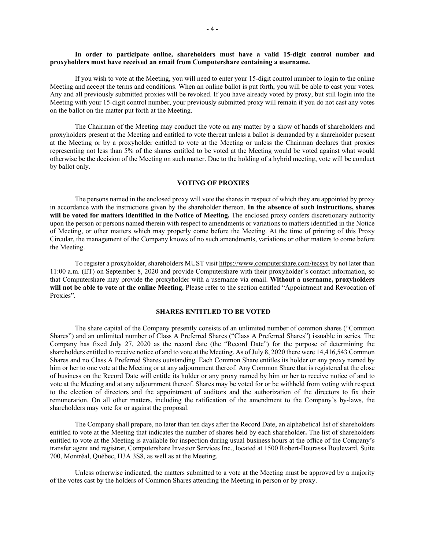## **In order to participate online, shareholders must have a valid 15-digit control number and proxyholders must have received an email from Computershare containing a username.**

If you wish to vote at the Meeting, you will need to enter your 15-digit control number to login to the online Meeting and accept the terms and conditions. When an online ballot is put forth, you will be able to cast your votes. Any and all previously submitted proxies will be revoked. If you have already voted by proxy, but still login into the Meeting with your 15-digit control number, your previously submitted proxy will remain if you do not cast any votes on the ballot on the matter put forth at the Meeting.

The Chairman of the Meeting may conduct the vote on any matter by a show of hands of shareholders and proxyholders present at the Meeting and entitled to vote thereat unless a ballot is demanded by a shareholder present at the Meeting or by a proxyholder entitled to vote at the Meeting or unless the Chairman declares that proxies representing not less than 5% of the shares entitled to be voted at the Meeting would be voted against what would otherwise be the decision of the Meeting on such matter. Due to the holding of a hybrid meeting, vote will be conduct by ballot only.

#### **VOTING OF PROXIES**

The persons named in the enclosed proxy will vote the shares in respect of which they are appointed by proxy in accordance with the instructions given by the shareholder thereon. **In the absence of such instructions, shares will be voted for matters identified in the Notice of Meeting.** The enclosed proxy confers discretionary authority upon the person or persons named therein with respect to amendments or variations to matters identified in the Notice of Meeting, or other matters which may properly come before the Meeting. At the time of printing of this Proxy Circular, the management of the Company knows of no such amendments, variations or other matters to come before the Meeting.

To register a proxyholder, shareholders MUST visit https://www.computershare.com/tecsys by not later than 11:00 a.m. (ET) on September 8, 2020 and provide Computershare with their proxyholder's contact information, so that Computershare may provide the proxyholder with a username via email. **Without a username, proxyholders will not be able to vote at the online Meeting.** Please refer to the section entitled "Appointment and Revocation of Proxies".

#### **SHARES ENTITLED TO BE VOTED**

The share capital of the Company presently consists of an unlimited number of common shares ("Common Shares") and an unlimited number of Class A Preferred Shares ("Class A Preferred Shares") issuable in series. The Company has fixed July 27, 2020 as the record date (the "Record Date") for the purpose of determining the shareholders entitled to receive notice of and to vote at the Meeting. As of July 8, 2020 there were 14,416,543 Common Shares and no Class A Preferred Shares outstanding. Each Common Share entitles its holder or any proxy named by him or her to one vote at the Meeting or at any adjournment thereof. Any Common Share that is registered at the close of business on the Record Date will entitle its holder or any proxy named by him or her to receive notice of and to vote at the Meeting and at any adjournment thereof. Shares may be voted for or be withheld from voting with respect to the election of directors and the appointment of auditors and the authorization of the directors to fix their remuneration. On all other matters, including the ratification of the amendment to the Company's by-laws, the shareholders may vote for or against the proposal.

The Company shall prepare, no later than ten days after the Record Date, an alphabetical list of shareholders entitled to vote at the Meeting that indicates the number of shares held by each shareholder**.** The list of shareholders entitled to vote at the Meeting is available for inspection during usual business hours at the office of the Company's transfer agent and registrar, Computershare Investor Services Inc., located at 1500 Robert-Bourassa Boulevard, Suite 700, Montréal, Québec, H3A 3S8, as well as at the Meeting.

Unless otherwise indicated, the matters submitted to a vote at the Meeting must be approved by a majority of the votes cast by the holders of Common Shares attending the Meeting in person or by proxy.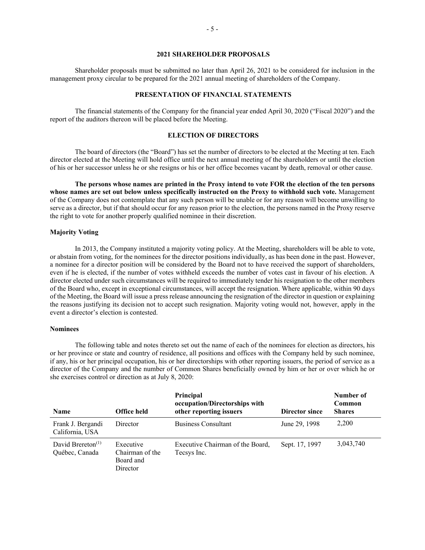## **2021 SHAREHOLDER PROPOSALS**

Shareholder proposals must be submitted no later than April 26, 2021 to be considered for inclusion in the management proxy circular to be prepared for the 2021 annual meeting of shareholders of the Company.

### **PRESENTATION OF FINANCIAL STATEMENTS**

The financial statements of the Company for the financial year ended April 30, 2020 ("Fiscal 2020") and the report of the auditors thereon will be placed before the Meeting.

## **ELECTION OF DIRECTORS**

The board of directors (the "Board") has set the number of directors to be elected at the Meeting at ten. Each director elected at the Meeting will hold office until the next annual meeting of the shareholders or until the election of his or her successor unless he or she resigns or his or her office becomes vacant by death, removal or other cause.

**The persons whose names are printed in the Proxy intend to vote FOR the election of the ten persons whose names are set out below unless specifically instructed on the Proxy to withhold such vote.** Management of the Company does not contemplate that any such person will be unable or for any reason will become unwilling to serve as a director, but if that should occur for any reason prior to the election, the persons named in the Proxy reserve the right to vote for another properly qualified nominee in their discretion.

### **Majority Voting**

In 2013, the Company instituted a majority voting policy. At the Meeting, shareholders will be able to vote, or abstain from voting, for the nominees for the director positions individually, as has been done in the past. However, a nominee for a director position will be considered by the Board not to have received the support of shareholders, even if he is elected, if the number of votes withheld exceeds the number of votes cast in favour of his election. A director elected under such circumstances will be required to immediately tender his resignation to the other members of the Board who, except in exceptional circumstances, will accept the resignation. Where applicable, within 90 days of the Meeting, the Board will issue a press release announcing the resignation of the director in question or explaining the reasons justifying its decision not to accept such resignation. Majority voting would not, however, apply in the event a director's election is contested.

### **Nominees**

The following table and notes thereto set out the name of each of the nominees for election as directors, his or her province or state and country of residence, all positions and offices with the Company held by such nominee, if any, his or her principal occupation, his or her directorships with other reporting issuers, the period of service as a director of the Company and the number of Common Shares beneficially owned by him or her or over which he or she exercises control or direction as at July 8, 2020:

| Name                                   | Office held                                           | Principal<br>occupation/Directorships with<br>other reporting issuers | Director since | Number of<br>Common<br><b>Shares</b> |
|----------------------------------------|-------------------------------------------------------|-----------------------------------------------------------------------|----------------|--------------------------------------|
| Frank J. Bergandi<br>California, USA   | Director                                              | Business Consultant                                                   | June 29, 1998  | 2,200                                |
| David Brereton $(1)$<br>Québec, Canada | Executive<br>Chairman of the<br>Board and<br>Director | Executive Chairman of the Board,<br>Tecsys Inc.                       | Sept. 17, 1997 | 3,043,740                            |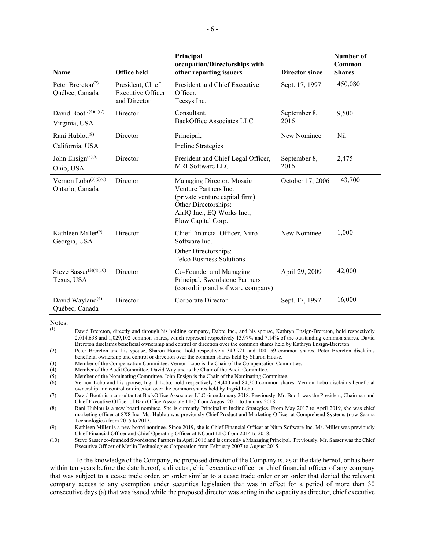| Name                                                         | <b>Office held</b>                                           | Principal<br>occupation/Directorships with<br>other reporting issuers                                                                                            | Director since       | Number of<br>Common<br><b>Shares</b> |
|--------------------------------------------------------------|--------------------------------------------------------------|------------------------------------------------------------------------------------------------------------------------------------------------------------------|----------------------|--------------------------------------|
| Peter Brereton <sup><math>(2)</math></sup><br>Québec, Canada | President, Chief<br><b>Executive Officer</b><br>and Director | President and Chief Executive<br>Officer.<br>Tecsys Inc.                                                                                                         | Sept. 17, 1997       | 450,080                              |
| David Booth <sup>(4)(5)(7)</sup><br>Virginia, USA            | Director                                                     | Consultant,<br><b>BackOffice Associates LLC</b>                                                                                                                  | September 8,<br>2016 | 9,500                                |
| Rani Hublou <sup>(8)</sup><br>California, USA                | Director                                                     | Principal,<br>Incline Strategies                                                                                                                                 | New Nominee          | Nil                                  |
| John Ensign $(3)(5)$<br>Ohio, USA                            | Director                                                     | President and Chief Legal Officer,<br><b>MRI</b> Software LLC                                                                                                    | September 8,<br>2016 | 2,475                                |
| Vernon Lobo <sup>(3)(5)(6)</sup><br>Ontario, Canada          | Director                                                     | Managing Director, Mosaic<br>Venture Partners Inc.<br>(private venture capital firm)<br>Other Directorships:<br>AirIQ Inc., EQ Works Inc.,<br>Flow Capital Corp. | October 17, 2006     | 143,700                              |
| Kathleen Miller <sup>(9)</sup><br>Georgia, USA               | Director                                                     | Chief Financial Officer, Nitro<br>Software Inc.<br>Other Directorships:<br><b>Telco Business Solutions</b>                                                       | New Nominee          | 1,000                                |
| Steve Sasser <sup>(3)(4)(10)</sup><br>Texas, USA             | Director                                                     | Co-Founder and Managing<br>Principal, Swordstone Partners<br>(consulting and software company)                                                                   | April 29, 2009       | 42,000                               |
| David Wayland <sup>(4)</sup><br>Québec, Canada               | Director                                                     | Corporate Director                                                                                                                                               | Sept. 17, 1997       | 16,000                               |

Notes:

- (4) Member of the Audit Committee. David Wayland is the Chair of the Audit Committee.
- (5) Member of the Nominating Committee. John Ensign is the Chair of the Nominating Committee.
- (6) Vernon Lobo and his spouse, Ingrid Lobo, hold respectively 59,400 and 84,300 common shares. Vernon Lobo disclaims beneficial ownership and control or direction over the common shares held by Ingrid Lobo.

To the knowledge of the Company, no proposed director of the Company is, as at the date hereof, or has been within ten years before the date hereof, a director, chief executive officer or chief financial officer of any company that was subject to a cease trade order, an order similar to a cease trade order or an order that denied the relevant company access to any exemption under securities legislation that was in effect for a period of more than 30 consecutive days (a) that was issued while the proposed director was acting in the capacity as director, chief executive

<sup>(1)</sup> David Brereton, directly and through his holding company, Dabre Inc., and his spouse, Kathryn Ensign-Brereton, hold respectively 2,014,638 and 1,029,102 common shares, which represent respectively 13.97% and 7.14% of the outstanding common shares. David Brereton disclaims beneficial ownership and control or direction over the common shares held by Kathryn Ensign-Brereton.

<sup>(2)</sup> Peter Brereton and his spouse, Sharon House, hold respectively 349,921 and 100,159 common shares. Peter Brereton disclaims beneficial ownership and control or direction over the common shares held by Sharon House.

<sup>(3)</sup> Member of the Compensation Committee. Vernon Lobo is the Chair of the Compensation Committee.

<sup>(7)</sup> David Booth is a consultant at BackOffice Associates LLC since January 2018. Previously, Mr. Booth was the President, Chairman and Chief Executive Officer of BackOffice Associate LLC from August 2011 to January 2018.

<sup>(8)</sup> Rani Hublou is a new board nominee. She is currently Principal at Incline Strategies. From May 2017 to April 2019, she was chief marketing officer at 8X8 Inc. Ms. Hublou was previously Chief Product and Marketing Officer at Comprehend Systems (now Saama Technologies) from 2015 to 2017.

<sup>(9)</sup> Kathleen Miller is a new board nominee. Since 2019, she is Chief Financial Officer at Nitro Software Inc. Ms. Miller was previously Chief Financial Officer and Chief Operating Officer at NCourt LLC from 2014 to 2018.

<sup>(10)</sup> Steve Sasser co-founded Swordstone Partners in April 2016 and is currently a Managing Principal. Previously, Mr. Sasser was the Chief Executive Officer of Merlin Technologies Corporation from February 2007 to August 2015.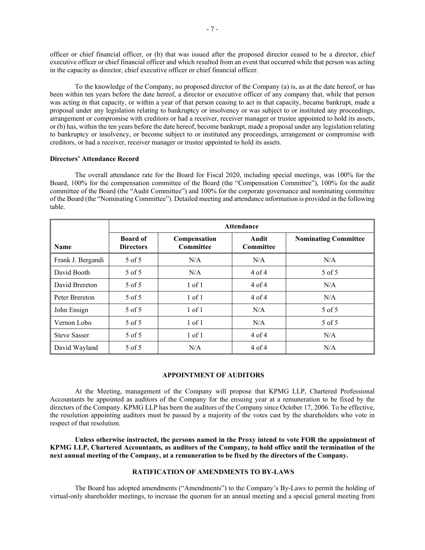officer or chief financial officer, or (b) that was issued after the proposed director ceased to be a director, chief executive officer or chief financial officer and which resulted from an event that occurred while that person was acting in the capacity as director, chief executive officer or chief financial officer.

To the knowledge of the Company, no proposed director of the Company (a) is, as at the date hereof, or has been within ten years before the date hereof, a director or executive officer of any company that, while that person was acting in that capacity, or within a year of that person ceasing to act in that capacity, became bankrupt, made a proposal under any legislation relating to bankruptcy or insolvency or was subject to or instituted any proceedings, arrangement or compromise with creditors or had a receiver, receiver manager or trustee appointed to hold its assets, or (b) has, within the ten years before the date hereof, become bankrupt, made a proposal under any legislation relating to bankruptcy or insolvency, or become subject to or instituted any proceedings, arrangement or compromise with creditors, or had a receiver, receiver manager or trustee appointed to hold its assets.

## **Directors' Attendance Record**

The overall attendance rate for the Board for Fiscal 2020, including special meetings, was 100% for the Board, 100% for the compensation committee of the Board (the "Compensation Committee"), 100% for the audit committee of the Board (the "Audit Committee") and 100% for the corporate governance and nominating committee of the Board (the "Nominating Committee"). Detailed meeting and attendance information is provided in the following table.

|                     | <b>Attendance</b>                   |                                  |                           |                             |  |  |
|---------------------|-------------------------------------|----------------------------------|---------------------------|-----------------------------|--|--|
| <b>Name</b>         | <b>Board of</b><br><b>Directors</b> | Compensation<br><b>Committee</b> | Audit<br><b>Committee</b> | <b>Nominating Committee</b> |  |  |
| Frank J. Bergandi   | 5 of 5                              | N/A                              | N/A                       | N/A                         |  |  |
| David Booth         | 5 of 5                              | N/A                              | 4 of 4                    | 5 of 5                      |  |  |
| David Brereton      | 5 of 5                              | $1$ of $1$                       | 4 of 4                    | N/A                         |  |  |
| Peter Brereton      | 5 of 5                              | $1$ of $1$                       | 4 of 4                    | N/A                         |  |  |
| John Ensign         | 5 of 5                              | $1$ of $1$                       | N/A                       | 5 of 5                      |  |  |
| Vernon Lobo         | 5 of 5                              | $1$ of $1$                       | N/A                       | 5 of 5                      |  |  |
| <b>Steve Sasser</b> | 5 of 5                              | $1$ of $1$                       | $4$ of $4$                | N/A                         |  |  |
| David Wayland       | 5 of 5                              | N/A                              | 4 of 4                    | N/A                         |  |  |

## **APPOINTMENT OF AUDITORS**

At the Meeting, management of the Company will propose that KPMG LLP, Chartered Professional Accountants be appointed as auditors of the Company for the ensuing year at a remuneration to be fixed by the directors of the Company. KPMG LLP has been the auditors of the Company since October 17, 2006. To be effective, the resolution appointing auditors must be passed by a majority of the votes cast by the shareholders who vote in respect of that resolution.

**Unless otherwise instructed, the persons named in the Proxy intend to vote FOR the appointment of KPMG LLP, Chartered Accountants, as auditors of the Company, to hold office until the termination of the next annual meeting of the Company, at a remuneration to be fixed by the directors of the Company.** 

## **RATIFICATION OF AMENDMENTS TO BY-LAWS**

The Board has adopted amendments ("Amendments") to the Company's By-Laws to permit the holding of virtual-only shareholder meetings, to increase the quorum for an annual meeting and a special general meeting from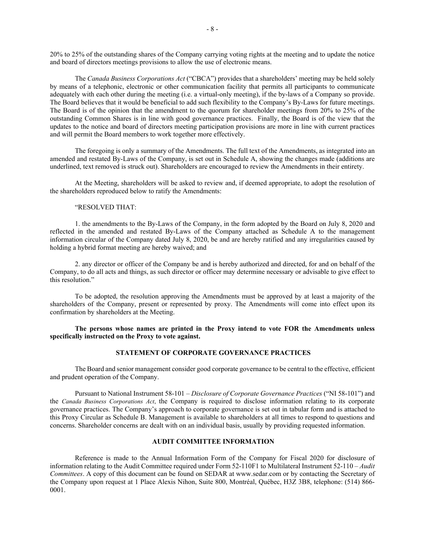20% to 25% of the outstanding shares of the Company carrying voting rights at the meeting and to update the notice and board of directors meetings provisions to allow the use of electronic means.

The *Canada Business Corporations Act* ("CBCA") provides that a shareholders' meeting may be held solely by means of a telephonic, electronic or other communication facility that permits all participants to communicate adequately with each other during the meeting (i.e. a virtual-only meeting), if the by-laws of a Company so provide. The Board believes that it would be beneficial to add such flexibility to the Company's By-Laws for future meetings. The Board is of the opinion that the amendment to the quorum for shareholder meetings from 20% to 25% of the outstanding Common Shares is in line with good governance practices. Finally, the Board is of the view that the updates to the notice and board of directors meeting participation provisions are more in line with current practices and will permit the Board members to work together more effectively.

The foregoing is only a summary of the Amendments. The full text of the Amendments, as integrated into an amended and restated By-Laws of the Company, is set out in Schedule A, showing the changes made (additions are underlined, text removed is struck out). Shareholders are encouraged to review the Amendments in their entirety.

At the Meeting, shareholders will be asked to review and, if deemed appropriate, to adopt the resolution of the shareholders reproduced below to ratify the Amendments:

## "RESOLVED THAT:

1. the amendments to the By-Laws of the Company, in the form adopted by the Board on July 8, 2020 and reflected in the amended and restated By-Laws of the Company attached as Schedule A to the management information circular of the Company dated July 8, 2020, be and are hereby ratified and any irregularities caused by holding a hybrid format meeting are hereby waived; and

2. any director or officer of the Company be and is hereby authorized and directed, for and on behalf of the Company, to do all acts and things, as such director or officer may determine necessary or advisable to give effect to this resolution."

To be adopted, the resolution approving the Amendments must be approved by at least a majority of the shareholders of the Company, present or represented by proxy. The Amendments will come into effect upon its confirmation by shareholders at the Meeting.

**The persons whose names are printed in the Proxy intend to vote FOR the Amendments unless specifically instructed on the Proxy to vote against.** 

# **STATEMENT OF CORPORATE GOVERNANCE PRACTICES**

The Board and senior management consider good corporate governance to be central to the effective, efficient and prudent operation of the Company.

Pursuant to National Instrument 58-101 – *Disclosure of Corporate Governance Practices* ("NI 58-101") and the *Canada Business Corporations Act*, the Company is required to disclose information relating to its corporate governance practices. The Company's approach to corporate governance is set out in tabular form and is attached to this Proxy Circular as Schedule B. Management is available to shareholders at all times to respond to questions and concerns. Shareholder concerns are dealt with on an individual basis, usually by providing requested information.

#### **AUDIT COMMITTEE INFORMATION**

Reference is made to the Annual Information Form of the Company for Fiscal 2020 for disclosure of information relating to the Audit Committee required under Form 52-110F1 to Multilateral Instrument 52-110 – *Audit Committees*. A copy of this document can be found on SEDAR at www.sedar.com or by contacting the Secretary of the Company upon request at 1 Place Alexis Nihon, Suite 800, Montréal, Québec, H3Z 3B8, telephone: (514) 866- 0001.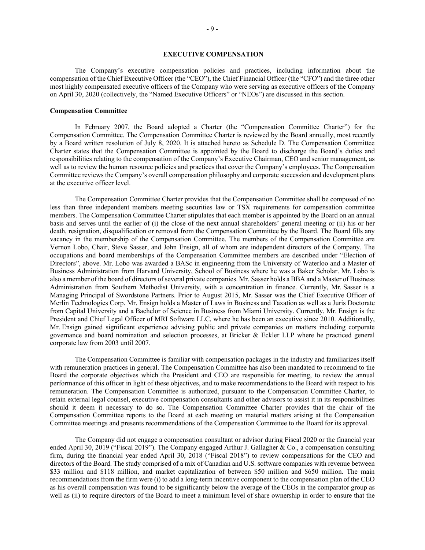## **EXECUTIVE COMPENSATION**

The Company's executive compensation policies and practices, including information about the compensation of the Chief Executive Officer (the "CEO"), the Chief Financial Officer (the "CFO") and the three other most highly compensated executive officers of the Company who were serving as executive officers of the Company on April 30, 2020 (collectively, the "Named Executive Officers" or "NEOs") are discussed in this section.

## **Compensation Committee**

In February 2007, the Board adopted a Charter (the "Compensation Committee Charter") for the Compensation Committee. The Compensation Committee Charter is reviewed by the Board annually, most recently by a Board written resolution of July 8, 2020. It is attached hereto as Schedule D. The Compensation Committee Charter states that the Compensation Committee is appointed by the Board to discharge the Board's duties and responsibilities relating to the compensation of the Company's Executive Chairman, CEO and senior management, as well as to review the human resource policies and practices that cover the Company's employees. The Compensation Committee reviews the Company's overall compensation philosophy and corporate succession and development plans at the executive officer level.

The Compensation Committee Charter provides that the Compensation Committee shall be composed of no less than three independent members meeting securities law or TSX requirements for compensation committee members. The Compensation Committee Charter stipulates that each member is appointed by the Board on an annual basis and serves until the earlier of (i) the close of the next annual shareholders' general meeting or (ii) his or her death, resignation, disqualification or removal from the Compensation Committee by the Board. The Board fills any vacancy in the membership of the Compensation Committee. The members of the Compensation Committee are Vernon Lobo, Chair, Steve Sasser, and John Ensign, all of whom are independent directors of the Company. The occupations and board memberships of the Compensation Committee members are described under "Election of Directors", above. Mr. Lobo was awarded a BASc in engineering from the University of Waterloo and a Master of Business Administration from Harvard University, School of Business where he was a Baker Scholar. Mr. Lobo is also a member of the board of directors of several private companies. Mr. Sasser holds a BBA and a Master of Business Administration from Southern Methodist University, with a concentration in finance. Currently, Mr. Sasser is a Managing Principal of Swordstone Partners. Prior to August 2015, Mr. Sasser was the Chief Executive Officer of Merlin Technologies Corp. Mr. Ensign holds a Master of Laws in Business and Taxation as well as a Juris Doctorate from Capital University and a Bachelor of Science in Business from Miami University. Currently, Mr. Ensign is the President and Chief Legal Officer of MRI Software LLC, where he has been an executive since 2010. Additionally, Mr. Ensign gained significant experience advising public and private companies on matters including corporate governance and board nomination and selection processes, at Bricker & Eckler LLP where he practiced general corporate law from 2003 until 2007.

The Compensation Committee is familiar with compensation packages in the industry and familiarizes itself with remuneration practices in general. The Compensation Committee has also been mandated to recommend to the Board the corporate objectives which the President and CEO are responsible for meeting, to review the annual performance of this officer in light of these objectives, and to make recommendations to the Board with respect to his remuneration. The Compensation Committee is authorized, pursuant to the Compensation Committee Charter, to retain external legal counsel, executive compensation consultants and other advisors to assist it in its responsibilities should it deem it necessary to do so. The Compensation Committee Charter provides that the chair of the Compensation Committee reports to the Board at each meeting on material matters arising at the Compensation Committee meetings and presents recommendations of the Compensation Committee to the Board for its approval.

The Company did not engage a compensation consultant or advisor during Fiscal 2020 or the financial year ended April 30, 2019 ("Fiscal 2019"). The Company engaged Arthur J. Gallagher & Co., a compensation consulting firm, during the financial year ended April 30, 2018 ("Fiscal 2018") to review compensations for the CEO and directors of the Board. The study comprised of a mix of Canadian and U.S. software companies with revenue between \$33 million and \$118 million, and market capitalization of between \$50 million and \$650 million. The main recommendations from the firm were (i) to add a long-term incentive component to the compensation plan of the CEO as his overall compensation was found to be significantly below the average of the CEOs in the comparator group as well as (ii) to require directors of the Board to meet a minimum level of share ownership in order to ensure that the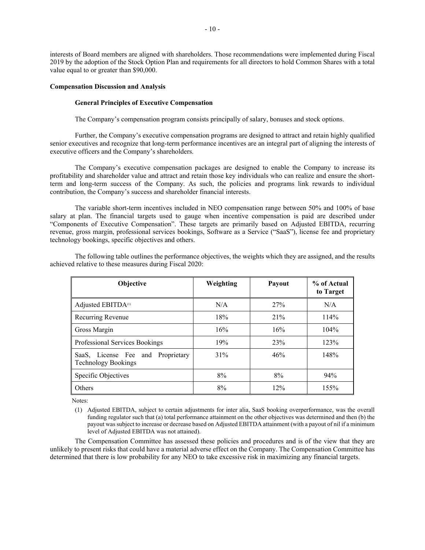interests of Board members are aligned with shareholders. Those recommendations were implemented during Fiscal 2019 by the adoption of the Stock Option Plan and requirements for all directors to hold Common Shares with a total value equal to or greater than \$90,000.

#### **Compensation Discussion and Analysis**

## **General Principles of Executive Compensation**

The Company's compensation program consists principally of salary, bonuses and stock options.

Further, the Company's executive compensation programs are designed to attract and retain highly qualified senior executives and recognize that long-term performance incentives are an integral part of aligning the interests of executive officers and the Company's shareholders.

The Company's executive compensation packages are designed to enable the Company to increase its profitability and shareholder value and attract and retain those key individuals who can realize and ensure the shortterm and long-term success of the Company. As such, the policies and programs link rewards to individual contribution, the Company's success and shareholder financial interests.

The variable short-term incentives included in NEO compensation range between 50% and 100% of base salary at plan. The financial targets used to gauge when incentive compensation is paid are described under "Components of Executive Compensation". These targets are primarily based on Adjusted EBITDA, recurring revenue, gross margin, professional services bookings, Software as a Service ("SaaS"), license fee and proprietary technology bookings, specific objectives and others.

| Objective                                                       | Weighting | Payout | % of Actual<br>to Target |
|-----------------------------------------------------------------|-----------|--------|--------------------------|
| Adjusted EBITDA <sup>(1)</sup>                                  | N/A       | 27%    | N/A                      |
| Recurring Revenue                                               | 18%       | 21%    | 114%                     |
| Gross Margin                                                    | 16%       | 16%    | $104\%$                  |
| Professional Services Bookings                                  | 19%       | 23%    | 123%                     |
| SaaS, License Fee and Proprietary<br><b>Technology Bookings</b> | 31%       | 46%    | 148%                     |
| Specific Objectives                                             | 8%        | 8%     | 94%                      |
| Others                                                          | 8%        | 12%    | 155%                     |

The following table outlines the performance objectives, the weights which they are assigned, and the results achieved relative to these measures during Fiscal 2020:

Notes:

The Compensation Committee has assessed these policies and procedures and is of the view that they are unlikely to present risks that could have a material adverse effect on the Company. The Compensation Committee has determined that there is low probability for any NEO to take excessive risk in maximizing any financial targets.

<sup>(1)</sup> Adjusted EBITDA, subject to certain adjustments for inter alia, SaaS booking overperformance, was the overall funding regulator such that (a) total performance attainment on the other objectives was determined and then (b) the payout was subject to increase or decrease based on Adjusted EBITDA attainment (with a payout of nil if a minimum level of Adjusted EBITDA was not attained).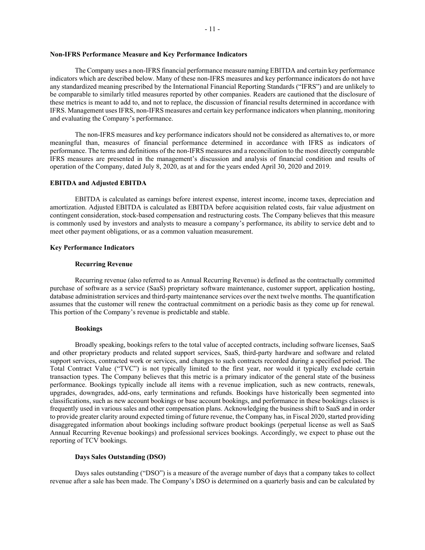The Company uses a non-IFRS financial performance measure naming EBITDA and certain key performance indicators which are described below. Many of these non-IFRS measures and key performance indicators do not have any standardized meaning prescribed by the International Financial Reporting Standards ("IFRS") and are unlikely to be comparable to similarly titled measures reported by other companies. Readers are cautioned that the disclosure of these metrics is meant to add to, and not to replace, the discussion of financial results determined in accordance with IFRS. Management uses IFRS, non-IFRS measures and certain key performance indicators when planning, monitoring and evaluating the Company's performance.

The non-IFRS measures and key performance indicators should not be considered as alternatives to, or more meaningful than, measures of financial performance determined in accordance with IFRS as indicators of performance. The terms and definitions of the non-IFRS measures and a reconciliation to the most directly comparable IFRS measures are presented in the management's discussion and analysis of financial condition and results of operation of the Company, dated July 8, 2020, as at and for the years ended April 30, 2020 and 2019.

## **EBITDA and Adjusted EBITDA**

EBITDA is calculated as earnings before interest expense, interest income, income taxes, depreciation and amortization. Adjusted EBITDA is calculated as EBITDA before acquisition related costs, fair value adjustment on contingent consideration, stock-based compensation and restructuring costs. The Company believes that this measure is commonly used by investors and analysts to measure a company's performance, its ability to service debt and to meet other payment obligations, or as a common valuation measurement.

## **Key Performance Indicators**

#### **Recurring Revenue**

Recurring revenue (also referred to as Annual Recurring Revenue) is defined as the contractually committed purchase of software as a service (SaaS) proprietary software maintenance, customer support, application hosting, database administration services and third-party maintenance services over the next twelve months. The quantification assumes that the customer will renew the contractual commitment on a periodic basis as they come up for renewal. This portion of the Company's revenue is predictable and stable.

## **Bookings**

Broadly speaking, bookings refers to the total value of accepted contracts, including software licenses, SaaS and other proprietary products and related support services, SaaS, third-party hardware and software and related support services, contracted work or services, and changes to such contracts recorded during a specified period. The Total Contract Value ("TVC") is not typically limited to the first year, nor would it typically exclude certain transaction types. The Company believes that this metric is a primary indicator of the general state of the business performance. Bookings typically include all items with a revenue implication, such as new contracts, renewals, upgrades, downgrades, add-ons, early terminations and refunds. Bookings have historically been segmented into classifications, such as new account bookings or base account bookings, and performance in these bookings classes is frequently used in various sales and other compensation plans. Acknowledging the business shift to SaaS and in order to provide greater clarity around expected timing of future revenue, the Company has, in Fiscal 2020, started providing disaggregated information about bookings including software product bookings (perpetual license as well as SaaS Annual Recurring Revenue bookings) and professional services bookings. Accordingly, we expect to phase out the reporting of TCV bookings.

### **Days Sales Outstanding (DSO)**

Days sales outstanding ("DSO") is a measure of the average number of days that a company takes to collect revenue after a sale has been made. The Company's DSO is determined on a quarterly basis and can be calculated by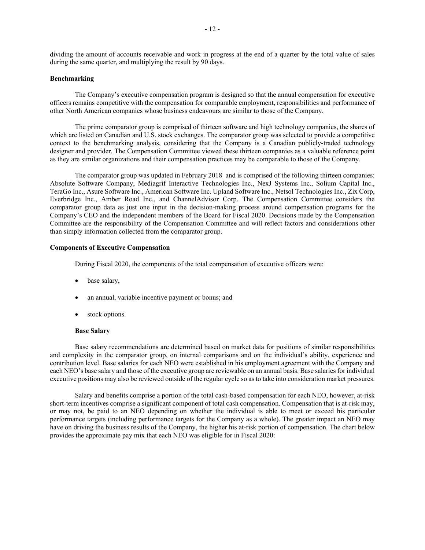dividing the amount of accounts receivable and work in progress at the end of a quarter by the total value of sales during the same quarter, and multiplying the result by 90 days.

## **Benchmarking**

The Company's executive compensation program is designed so that the annual compensation for executive officers remains competitive with the compensation for comparable employment, responsibilities and performance of other North American companies whose business endeavours are similar to those of the Company.

The prime comparator group is comprised of thirteen software and high technology companies, the shares of which are listed on Canadian and U.S. stock exchanges. The comparator group was selected to provide a competitive context to the benchmarking analysis, considering that the Company is a Canadian publicly-traded technology designer and provider. The Compensation Committee viewed these thirteen companies as a valuable reference point as they are similar organizations and their compensation practices may be comparable to those of the Company.

The comparator group was updated in February 2018 and is comprised of the following thirteen companies: Absolute Software Company, Mediagrif Interactive Technologies Inc., NexJ Systems Inc., Solium Capital Inc., TeraGo Inc., Asure Software Inc., American Software Inc. Upland Software Inc., Netsol Technologies Inc., Zix Corp, Everbridge Inc., Amber Road Inc., and ChannelAdvisor Corp. The Compensation Committee considers the comparator group data as just one input in the decision-making process around compensation programs for the Company's CEO and the independent members of the Board for Fiscal 2020. Decisions made by the Compensation Committee are the responsibility of the Compensation Committee and will reflect factors and considerations other than simply information collected from the comparator group.

### **Components of Executive Compensation**

During Fiscal 2020, the components of the total compensation of executive officers were:

- base salary,
- an annual, variable incentive payment or bonus; and
- stock options.

#### **Base Salary**

Base salary recommendations are determined based on market data for positions of similar responsibilities and complexity in the comparator group, on internal comparisons and on the individual's ability, experience and contribution level. Base salaries for each NEO were established in his employment agreement with the Company and each NEO's base salary and those of the executive group are reviewable on an annual basis. Base salaries for individual executive positions may also be reviewed outside of the regular cycle so as to take into consideration market pressures.

Salary and benefits comprise a portion of the total cash-based compensation for each NEO, however, at-risk short-term incentives comprise a significant component of total cash compensation. Compensation that is at-risk may, or may not, be paid to an NEO depending on whether the individual is able to meet or exceed his particular performance targets (including performance targets for the Company as a whole). The greater impact an NEO may have on driving the business results of the Company, the higher his at-risk portion of compensation. The chart below provides the approximate pay mix that each NEO was eligible for in Fiscal 2020: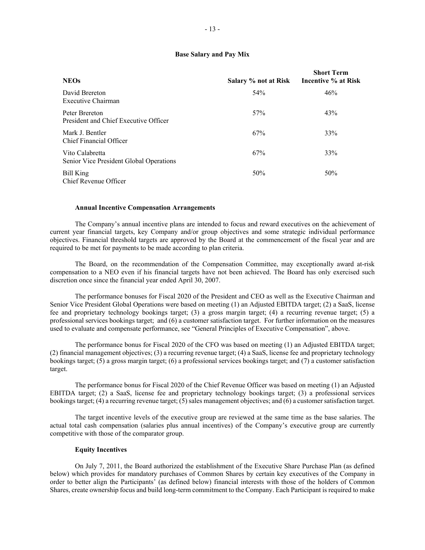## **Base Salary and Pay Mix**

| <b>NEOs</b>                                                | Salary % not at Risk | <b>Short Term</b><br>Incentive % at Risk |
|------------------------------------------------------------|----------------------|------------------------------------------|
| David Brereton<br>Executive Chairman                       | 54%                  | 46%                                      |
| Peter Brereton<br>President and Chief Executive Officer    | 57%                  | 43%                                      |
| Mark J. Bentler<br>Chief Financial Officer                 | 67%                  | 33%                                      |
| Vito Calabretta<br>Senior Vice President Global Operations | 67%                  | 33%                                      |
| <b>Bill King</b><br>Chief Revenue Officer                  | 50%                  | 50%                                      |

#### **Annual Incentive Compensation Arrangements**

The Company's annual incentive plans are intended to focus and reward executives on the achievement of current year financial targets, key Company and/or group objectives and some strategic individual performance objectives. Financial threshold targets are approved by the Board at the commencement of the fiscal year and are required to be met for payments to be made according to plan criteria.

The Board, on the recommendation of the Compensation Committee, may exceptionally award at-risk compensation to a NEO even if his financial targets have not been achieved. The Board has only exercised such discretion once since the financial year ended April 30, 2007.

The performance bonuses for Fiscal 2020 of the President and CEO as well as the Executive Chairman and Senior Vice President Global Operations were based on meeting (1) an Adjusted EBITDA target; (2) a SaaS, license fee and proprietary technology bookings target; (3) a gross margin target; (4) a recurring revenue target; (5) a professional services bookings target; and (6) a customer satisfaction target. For further information on the measures used to evaluate and compensate performance, see "General Principles of Executive Compensation", above.

The performance bonus for Fiscal 2020 of the CFO was based on meeting (1) an Adjusted EBITDA target; (2) financial management objectives; (3) a recurring revenue target; (4) a SaaS, license fee and proprietary technology bookings target; (5) a gross margin target; (6) a professional services bookings target; and (7) a customer satisfaction target.

The performance bonus for Fiscal 2020 of the Chief Revenue Officer was based on meeting (1) an Adjusted EBITDA target; (2) a SaaS, license fee and proprietary technology bookings target; (3) a professional services bookings target; (4) a recurring revenue target; (5) sales management objectives; and (6) a customer satisfaction target.

The target incentive levels of the executive group are reviewed at the same time as the base salaries. The actual total cash compensation (salaries plus annual incentives) of the Company's executive group are currently competitive with those of the comparator group.

### **Equity Incentives**

On July 7, 2011, the Board authorized the establishment of the Executive Share Purchase Plan (as defined below) which provides for mandatory purchases of Common Shares by certain key executives of the Company in order to better align the Participants' (as defined below) financial interests with those of the holders of Common Shares, create ownership focus and build long-term commitment to the Company. Each Participant is required to make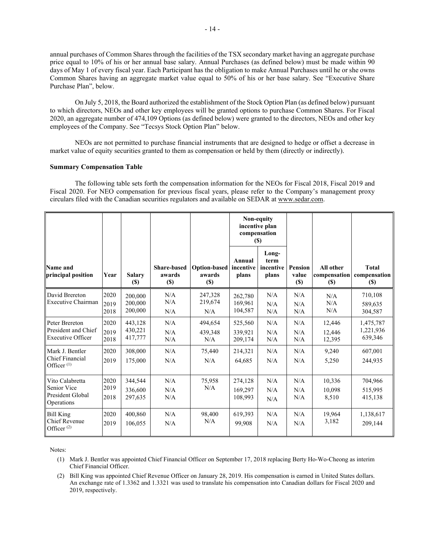annual purchases of Common Shares through the facilities of the TSX secondary market having an aggregate purchase price equal to 10% of his or her annual base salary. Annual Purchases (as defined below) must be made within 90 days of May 1 of every fiscal year. Each Participant has the obligation to make Annual Purchases until he or she owns Common Shares having an aggregate market value equal to 50% of his or her base salary. See "Executive Share Purchase Plan", below.

On July 5, 2018, the Board authorized the establishment of the Stock Option Plan (as defined below) pursuant to which directors, NEOs and other key employees will be granted options to purchase Common Shares. For Fiscal 2020, an aggregate number of 474,109 Options (as defined below) were granted to the directors, NEOs and other key employees of the Company. See "Tecsys Stock Option Plan" below.

NEOs are not permitted to purchase financial instruments that are designed to hedge or offset a decrease in market value of equity securities granted to them as compensation or held by them (directly or indirectly).

#### **Summary Compensation Table**

The following table sets forth the compensation information for the NEOs for Fiscal 2018, Fiscal 2019 and Fiscal 2020. For NEO compensation for previous fiscal years, please refer to the Company's management proxy circulars filed with the Canadian securities regulators and available on SEDAR at www.sedar.com.

|                                                                   |                      |                               |                                        |                               | Non-equity                    | incentive plan<br>compensation<br><b>(\$)</b> |                                   |                                     |                                        |
|-------------------------------------------------------------------|----------------------|-------------------------------|----------------------------------------|-------------------------------|-------------------------------|-----------------------------------------------|-----------------------------------|-------------------------------------|----------------------------------------|
| Name and<br>principal position                                    | Year                 | <b>Salary</b><br>$(\$)$       | <b>Share-based</b><br>awards<br>$(\$)$ | Option-based<br>awards<br>(S) | Annual<br>incentive<br>plans  | Long-<br>term<br>incentive<br>plans           | <b>Pension</b><br>value<br>$(\$)$ | All other<br>compensation<br>$(\$)$ | <b>Total</b><br>compensation<br>$(\$)$ |
| David Brereton<br>Executive Chairman                              | 2020<br>2019<br>2018 | 200,000<br>200,000<br>200,000 | N/A<br>N/A<br>N/A                      | 247,328<br>219,674<br>N/A     | 262,780<br>169,961<br>104,587 | N/A<br>N/A<br>N/A                             | N/A<br>N/A<br>N/A                 | N/A<br>N/A<br>N/A                   | 710,108<br>589.635<br>304,587          |
| Peter Brereton<br>President and Chief<br><b>Executive Officer</b> | 2020<br>2019<br>2018 | 443,128<br>430,221<br>417,777 | N/A<br>N/A<br>N/A                      | 494,654<br>439,348<br>N/A     | 525,560<br>339,921<br>209,174 | N/A<br>N/A<br>N/A                             | N/A<br>N/A<br>N/A                 | 12,446<br>12,446<br>12,395          | 1,475,787<br>1,221,936<br>639,346      |
| Mark J. Bentler<br>Chief Financial<br>Officer <sup>(1)</sup>      | 2020<br>2019         | 308,000<br>175,000            | N/A<br>N/A                             | 75,440<br>N/A                 | 214,321<br>64.685             | N/A<br>N/A                                    | N/A<br>N/A                        | 9,240<br>5,250                      | 607,001<br>244,935                     |
| Vito Calabretta<br>Senior Vice<br>President Global<br>Operations  | 2020<br>2019<br>2018 | 344,544<br>336,600<br>297,635 | N/A<br>N/A<br>N/A                      | 75,958<br>N/A                 | 274,128<br>169,297<br>108,993 | N/A<br>N/A<br>N/A                             | N/A<br>N/A<br>N/A                 | 10,336<br>10,098<br>8,510           | 704,966<br>515,995<br>415,138          |
| <b>Bill King</b><br>Chief Revenue<br>Officer $(2)$                | 2020<br>2019         | 400,860<br>106,055            | N/A<br>N/A                             | 98,400<br>N/A                 | 619,393<br>99.908             | N/A<br>N/A                                    | N/A<br>N/A                        | 19,964<br>3,182                     | 1,138,617<br>209,144                   |

Notes:

(1) Mark J. Bentler was appointed Chief Financial Officer on September 17, 2018 replacing Berty Ho-Wo-Cheong as interim Chief Financial Officer.

(2) Bill King was appointed Chief Revenue Officer on January 28, 2019. His compensation is earned in United States dollars. An exchange rate of 1.3362 and 1.3321 was used to translate his compensation into Canadian dollars for Fiscal 2020 and 2019, respectively.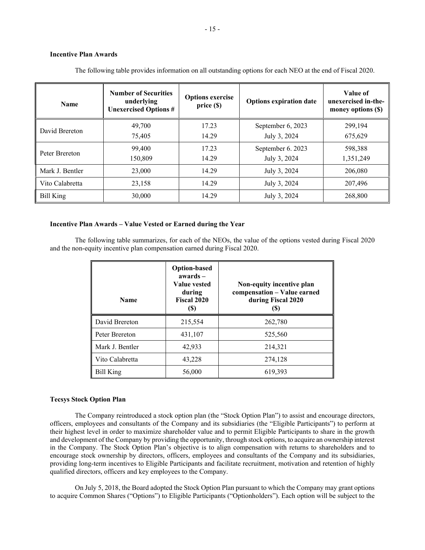# **Incentive Plan Awards**

| <b>Name</b>     | <b>Number of Securities</b><br>underlying<br><b>Unexercised Options #</b> | <b>Options exercise</b><br>price(S) | <b>Options expiration date</b> | Value of<br>unexercised in-the-<br>money options (\$) |
|-----------------|---------------------------------------------------------------------------|-------------------------------------|--------------------------------|-------------------------------------------------------|
| David Brereton  | 49,700                                                                    | 17.23                               | September 6, 2023              | 299,194                                               |
|                 | 75,405                                                                    | 14.29                               | July 3, 2024                   | 675,629                                               |
| Peter Brereton  | 99,400                                                                    | 17.23                               | September 6. 2023              | 598,388                                               |
|                 | 150,809                                                                   | 14.29                               | July 3, 2024                   | 1,351,249                                             |
| Mark J. Bentler | 23,000                                                                    | 14.29                               | July 3, 2024                   | 206,080                                               |
| Vito Calabretta | 23,158                                                                    | 14.29                               | July 3, 2024                   | 207,496                                               |
| Bill King       | 30,000                                                                    | 14.29                               | July 3, 2024                   | 268,800                                               |

The following table provides information on all outstanding options for each NEO at the end of Fiscal 2020.

## **Incentive Plan Awards – Value Vested or Earned during the Year**

The following table summarizes, for each of the NEOs, the value of the options vested during Fiscal 2020 and the non-equity incentive plan compensation earned during Fiscal 2020.

| <b>Name</b>      | <b>Option-based</b><br>$awards -$<br>Value vested<br>during<br><b>Fiscal 2020</b><br>(S) | Non-equity incentive plan<br>compensation - Value earned<br>during Fiscal 2020<br>(S) |
|------------------|------------------------------------------------------------------------------------------|---------------------------------------------------------------------------------------|
| David Brereton   | 215,554                                                                                  | 262,780                                                                               |
| Peter Brereton   | 431,107                                                                                  | 525,560                                                                               |
| Mark J. Bentler  | 42,933                                                                                   | 214,321                                                                               |
| Vito Calabretta  | 43,228                                                                                   | 274,128                                                                               |
| <b>Bill King</b> | 56,000                                                                                   | 619,393                                                                               |

## **Tecsys Stock Option Plan**

The Company reintroduced a stock option plan (the "Stock Option Plan") to assist and encourage directors, officers, employees and consultants of the Company and its subsidiaries (the "Eligible Participants") to perform at their highest level in order to maximize shareholder value and to permit Eligible Participants to share in the growth and development of the Company by providing the opportunity, through stock options, to acquire an ownership interest in the Company. The Stock Option Plan's objective is to align compensation with returns to shareholders and to encourage stock ownership by directors, officers, employees and consultants of the Company and its subsidiaries, providing long-term incentives to Eligible Participants and facilitate recruitment, motivation and retention of highly qualified directors, officers and key employees to the Company.

On July 5, 2018, the Board adopted the Stock Option Plan pursuant to which the Company may grant options to acquire Common Shares ("Options") to Eligible Participants ("Optionholders"). Each option will be subject to the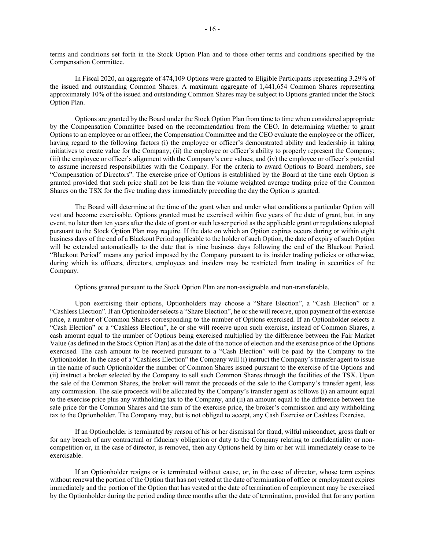terms and conditions set forth in the Stock Option Plan and to those other terms and conditions specified by the Compensation Committee.

In Fiscal 2020, an aggregate of 474,109 Options were granted to Eligible Participants representing 3.29% of the issued and outstanding Common Shares. A maximum aggregate of 1,441,654 Common Shares representing approximately 10% of the issued and outstanding Common Shares may be subject to Options granted under the Stock Option Plan.

Options are granted by the Board under the Stock Option Plan from time to time when considered appropriate by the Compensation Committee based on the recommendation from the CEO. In determining whether to grant Options to an employee or an officer, the Compensation Committee and the CEO evaluate the employee or the officer, having regard to the following factors (i) the employee or officer's demonstrated ability and leadership in taking initiatives to create value for the Company; (ii) the employee or officer's ability to properly represent the Company; (iii) the employee or officer's alignment with the Company's core values; and (iv) the employee or officer's potential to assume increased responsibilities with the Company. For the criteria to award Options to Board members, see "Compensation of Directors". The exercise price of Options is established by the Board at the time each Option is granted provided that such price shall not be less than the volume weighted average trading price of the Common Shares on the TSX for the five trading days immediately preceding the day the Option is granted.

The Board will determine at the time of the grant when and under what conditions a particular Option will vest and become exercisable. Options granted must be exercised within five years of the date of grant, but, in any event, no later than ten years after the date of grant or such lesser period as the applicable grant or regulations adopted pursuant to the Stock Option Plan may require. If the date on which an Option expires occurs during or within eight business days of the end of a Blackout Period applicable to the holder of such Option, the date of expiry of such Option will be extended automatically to the date that is nine business days following the end of the Blackout Period. "Blackout Period" means any period imposed by the Company pursuant to its insider trading policies or otherwise, during which its officers, directors, employees and insiders may be restricted from trading in securities of the Company.

Options granted pursuant to the Stock Option Plan are non-assignable and non-transferable.

Upon exercising their options, Optionholders may choose a "Share Election", a "Cash Election" or a "Cashless Election". If an Optionholder selects a "Share Election", he or she will receive, upon payment of the exercise price, a number of Common Shares corresponding to the number of Options exercised. If an Optionholder selects a "Cash Election" or a "Cashless Election", he or she will receive upon such exercise, instead of Common Shares, a cash amount equal to the number of Options being exercised multiplied by the difference between the Fair Market Value (as defined in the Stock Option Plan) as at the date of the notice of election and the exercise price of the Options exercised. The cash amount to be received pursuant to a "Cash Election" will be paid by the Company to the Optionholder. In the case of a "Cashless Election" the Company will (i) instruct the Company's transfer agent to issue in the name of such Optionholder the number of Common Shares issued pursuant to the exercise of the Options and (ii) instruct a broker selected by the Company to sell such Common Shares through the facilities of the TSX. Upon the sale of the Common Shares, the broker will remit the proceeds of the sale to the Company's transfer agent, less any commission. The sale proceeds will be allocated by the Company's transfer agent as follows (i) an amount equal to the exercise price plus any withholding tax to the Company, and (ii) an amount equal to the difference between the sale price for the Common Shares and the sum of the exercise price, the broker's commission and any withholding tax to the Optionholder. The Company may, but is not obliged to accept, any Cash Exercise or Cashless Exercise.

If an Optionholder is terminated by reason of his or her dismissal for fraud, wilful misconduct, gross fault or for any breach of any contractual or fiduciary obligation or duty to the Company relating to confidentiality or noncompetition or, in the case of director, is removed, then any Options held by him or her will immediately cease to be exercisable.

If an Optionholder resigns or is terminated without cause, or, in the case of director, whose term expires without renewal the portion of the Option that has not vested at the date of termination of office or employment expires immediately and the portion of the Option that has vested at the date of termination of employment may be exercised by the Optionholder during the period ending three months after the date of termination, provided that for any portion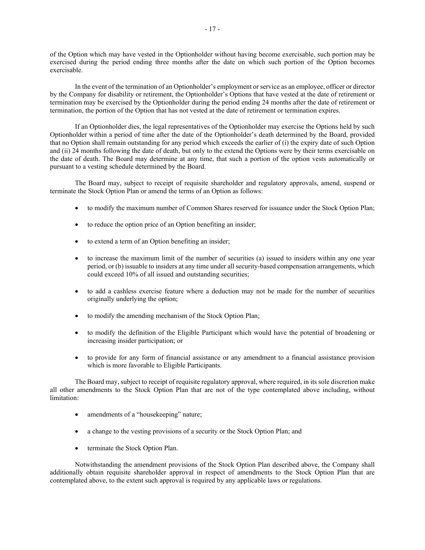of the Option which may have vested in the Optionholder without having become exercisable, such portion may be exercised during the period ending three months after the date on which such portion of the Option becomes exercisable.

In the event of the termination of an Optionholder's employment or service as an employee, officer or director by the Company for disability or retirement, the Optionholder's Options that have vested at the date of retirement or termination may be exercised by the Optionholder during the period ending 24 months after the date of retirement or termination, the portion of the Option that has not vested at the date of retirement or termination expires.

If an Optionholder dies, the legal representatives of the Optionholder may exercise the Options held by such Optionholder within a period of time after the date of the Optionholder's death determined by the Board, provided that no Option shall remain outstanding for any period which exceeds the earlier of (i) the expiry date of such Option and (ii) 24 months following the date of death, but only to the extend the Options were by their terms exercisable on the date of death. The Board may determine at any time, that such a portion of the option vests automatically or pursuant to a vesting schedule determined by the Board.

The Board may, subject to receipt of requisite shareholder and regulatory approvals, amend, suspend or terminate the Stock Option Plan or amend the terms of an Option as follows:

- to modify the maximum number of Common Shares reserved for issuance under the Stock Option Plan;
- to reduce the option price of an Option benefiting an insider;
- to extend a term of an Option benefiting an insider;
- to increase the maximum limit of the number of securities (a) issued to insiders within any one year period, or (b) issuable to insiders at any time under all security-based compensation arrangements, which could exceed 10% of all issued and outstanding securities;
- to add a cashless exercise feature where a deduction may not be made for the number of securities originally underlying the option;
- to modify the amending mechanism of the Stock Option Plan;
- to modify the definition of the Eligible Participant which would have the potential of broadening or increasing insider participation; or
- to provide for any form of financial assistance or any amendment to a financial assistance provision which is more favorable to Eligible Participants.

The Board may, subject to receipt of requisite regulatory approval, where required, in its sole discretion make all other amendments to the Stock Option Plan that are not of the type contemplated above including, without limitation:

- amendments of a "housekeeping" nature;
- a change to the vesting provisions of a security or the Stock Option Plan; and
- terminate the Stock Option Plan.

Notwithstanding the amendment provisions of the Stock Option Plan described above, the Company shall additionally obtain requisite shareholder approval in respect of amendments to the Stock Option Plan that are contemplated above, to the extent such approval is required by any applicable laws or regulations.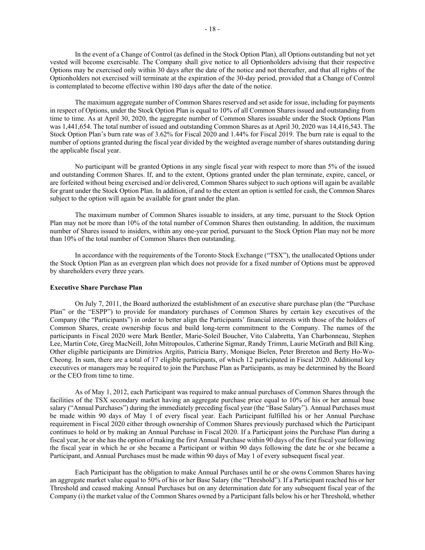In the event of a Change of Control (as defined in the Stock Option Plan), all Options outstanding but not yet vested will become exercisable. The Company shall give notice to all Optionholders advising that their respective Options may be exercised only within 30 days after the date of the notice and not thereafter, and that all rights of the Optionholders not exercised will terminate at the expiration of the 30-day period, provided that a Change of Control is contemplated to become effective within 180 days after the date of the notice.

The maximum aggregate number of Common Shares reserved and set aside for issue, including for payments in respect of Options, under the Stock Option Plan is equal to 10% of all Common Shares issued and outstanding from time to time. As at April 30, 2020, the aggregate number of Common Shares issuable under the Stock Options Plan was 1,441,654. The total number of issued and outstanding Common Shares as at April 30, 2020 was 14,416,543. The Stock Option Plan's burn rate was of 3.62% for Fiscal 2020 and 1.44% for Fiscal 2019. The burn rate is equal to the number of options granted during the fiscal year divided by the weighted average number of shares outstanding during the applicable fiscal year.

No participant will be granted Options in any single fiscal year with respect to more than 5% of the issued and outstanding Common Shares. If, and to the extent, Options granted under the plan terminate, expire, cancel, or are forfeited without being exercised and/or delivered, Common Shares subject to such options will again be available for grant under the Stock Option Plan. In addition, if and to the extent an option is settled for cash, the Common Shares subject to the option will again be available for grant under the plan.

The maximum number of Common Shares issuable to insiders, at any time, pursuant to the Stock Option Plan may not be more than 10% of the total number of Common Shares then outstanding. In addition, the maximum number of Shares issued to insiders, within any one-year period, pursuant to the Stock Option Plan may not be more than 10% of the total number of Common Shares then outstanding.

In accordance with the requirements of the Toronto Stock Exchange ("TSX"), the unallocated Options under the Stock Option Plan as an evergreen plan which does not provide for a fixed number of Options must be approved by shareholders every three years.

#### **Executive Share Purchase Plan**

On July 7, 2011, the Board authorized the establishment of an executive share purchase plan (the "Purchase Plan" or the "ESPP") to provide for mandatory purchases of Common Shares by certain key executives of the Company (the "Participants") in order to better align the Participants' financial interests with those of the holders of Common Shares, create ownership focus and build long-term commitment to the Company. The names of the participants in Fiscal 2020 were Mark Bentler, Marie-Soleil Boucher, Vito Calabretta, Yan Charbonneau, Stephen Lee, Martin Cote, Greg MacNeill, John Mitropoulos, Catherine Sigmar, Randy Trimm, Laurie McGrath and Bill King. Other eligible participants are Dimitrios Argitis, Patricia Barry, Monique Bielen, Peter Brereton and Berty Ho-Wo-Cheong. In sum, there are a total of 17 eligible participants, of which 12 participated in Fiscal 2020. Additional key executives or managers may be required to join the Purchase Plan as Participants, as may be determined by the Board or the CEO from time to time.

As of May 1, 2012, each Participant was required to make annual purchases of Common Shares through the facilities of the TSX secondary market having an aggregate purchase price equal to 10% of his or her annual base salary ("Annual Purchases") during the immediately preceding fiscal year (the "Base Salary"). Annual Purchases must be made within 90 days of May 1 of every fiscal year. Each Participant fulfilled his or her Annual Purchase requirement in Fiscal 2020 either through ownership of Common Shares previously purchased which the Participant continues to hold or by making an Annual Purchase in Fiscal 2020. If a Participant joins the Purchase Plan during a fiscal year, he or she has the option of making the first Annual Purchase within 90 days of the first fiscal year following the fiscal year in which he or she became a Participant or within 90 days following the date he or she became a Participant, and Annual Purchases must be made within 90 days of May 1 of every subsequent fiscal year.

Each Participant has the obligation to make Annual Purchases until he or she owns Common Shares having an aggregate market value equal to 50% of his or her Base Salary (the "Threshold"). If a Participant reached his or her Threshold and ceased making Annual Purchases but on any determination date for any subsequent fiscal year of the Company (i) the market value of the Common Shares owned by a Participant falls below his or her Threshold, whether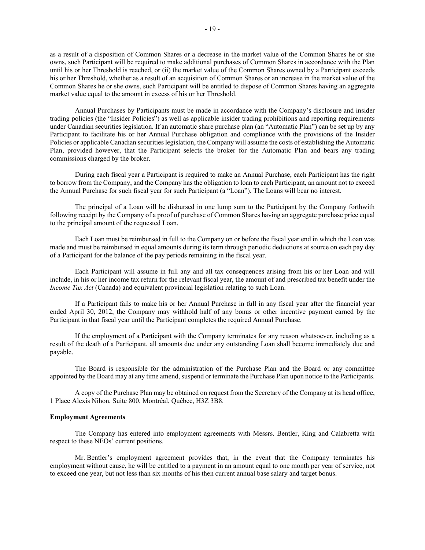as a result of a disposition of Common Shares or a decrease in the market value of the Common Shares he or she owns, such Participant will be required to make additional purchases of Common Shares in accordance with the Plan until his or her Threshold is reached, or (ii) the market value of the Common Shares owned by a Participant exceeds his or her Threshold, whether as a result of an acquisition of Common Shares or an increase in the market value of the Common Shares he or she owns, such Participant will be entitled to dispose of Common Shares having an aggregate market value equal to the amount in excess of his or her Threshold.

Annual Purchases by Participants must be made in accordance with the Company's disclosure and insider trading policies (the "Insider Policies") as well as applicable insider trading prohibitions and reporting requirements under Canadian securities legislation. If an automatic share purchase plan (an "Automatic Plan") can be set up by any Participant to facilitate his or her Annual Purchase obligation and compliance with the provisions of the Insider Policies or applicable Canadian securities legislation, the Company will assume the costs of establishing the Automatic Plan, provided however, that the Participant selects the broker for the Automatic Plan and bears any trading commissions charged by the broker.

During each fiscal year a Participant is required to make an Annual Purchase, each Participant has the right to borrow from the Company, and the Company has the obligation to loan to each Participant, an amount not to exceed the Annual Purchase for such fiscal year for such Participant (a "Loan"). The Loans will bear no interest.

The principal of a Loan will be disbursed in one lump sum to the Participant by the Company forthwith following receipt by the Company of a proof of purchase of Common Shares having an aggregate purchase price equal to the principal amount of the requested Loan.

Each Loan must be reimbursed in full to the Company on or before the fiscal year end in which the Loan was made and must be reimbursed in equal amounts during its term through periodic deductions at source on each pay day of a Participant for the balance of the pay periods remaining in the fiscal year.

Each Participant will assume in full any and all tax consequences arising from his or her Loan and will include, in his or her income tax return for the relevant fiscal year, the amount of and prescribed tax benefit under the *Income Tax Act* (Canada) and equivalent provincial legislation relating to such Loan.

If a Participant fails to make his or her Annual Purchase in full in any fiscal year after the financial year ended April 30, 2012, the Company may withhold half of any bonus or other incentive payment earned by the Participant in that fiscal year until the Participant completes the required Annual Purchase.

If the employment of a Participant with the Company terminates for any reason whatsoever, including as a result of the death of a Participant, all amounts due under any outstanding Loan shall become immediately due and payable.

The Board is responsible for the administration of the Purchase Plan and the Board or any committee appointed by the Board may at any time amend, suspend or terminate the Purchase Plan upon notice to the Participants.

A copy of the Purchase Plan may be obtained on request from the Secretary of the Company at its head office, 1 Place Alexis Nihon, Suite 800, Montréal, Québec, H3Z 3B8.

#### **Employment Agreements**

The Company has entered into employment agreements with Messrs. Bentler, King and Calabretta with respect to these NEOs' current positions.

Mr. Bentler's employment agreement provides that, in the event that the Company terminates his employment without cause, he will be entitled to a payment in an amount equal to one month per year of service, not to exceed one year, but not less than six months of his then current annual base salary and target bonus.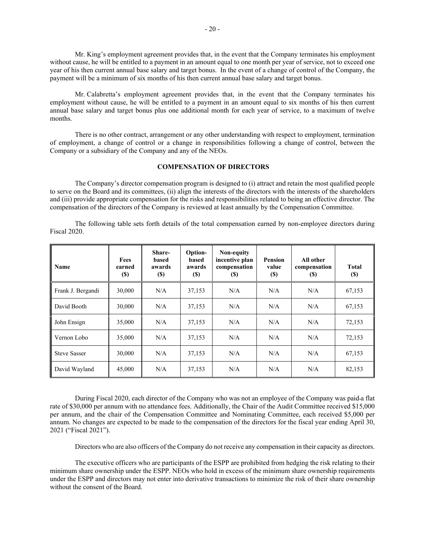Mr. King's employment agreement provides that, in the event that the Company terminates his employment without cause, he will be entitled to a payment in an amount equal to one month per year of service, not to exceed one year of his then current annual base salary and target bonus. In the event of a change of control of the Company, the payment will be a minimum of six months of his then current annual base salary and target bonus.

Mr. Calabretta's employment agreement provides that, in the event that the Company terminates his employment without cause, he will be entitled to a payment in an amount equal to six months of his then current annual base salary and target bonus plus one additional month for each year of service, to a maximum of twelve months.

There is no other contract, arrangement or any other understanding with respect to employment, termination of employment, a change of control or a change in responsibilities following a change of control, between the Company or a subsidiary of the Company and any of the NEOs.

#### **COMPENSATION OF DIRECTORS**

The Company's director compensation program is designed to (i) attract and retain the most qualified people to serve on the Board and its committees, (ii) align the interests of the directors with the interests of the shareholders and (iii) provide appropriate compensation for the risks and responsibilities related to being an effective director. The compensation of the directors of the Company is reviewed at least annually by the Compensation Committee.

The following table sets forth details of the total compensation earned by non-employee directors during Fiscal 2020.

| Name                | <b>Fees</b><br>earned<br><b>(\$)</b> | Share-<br>based<br>awards<br><b>(\$)</b> | Option-<br>based<br>awards<br>(S) | Non-equity<br>incentive plan<br>compensation<br>(S) | Pension<br>value<br><b>(\$)</b> | All other<br>compensation<br>(S) | <b>Total</b><br><b>(S)</b> |
|---------------------|--------------------------------------|------------------------------------------|-----------------------------------|-----------------------------------------------------|---------------------------------|----------------------------------|----------------------------|
| Frank J. Bergandi   | 30,000                               | N/A                                      | 37,153                            | N/A                                                 | N/A                             | N/A                              | 67,153                     |
| David Booth         | 30,000                               | N/A                                      | 37,153                            | N/A                                                 | N/A                             | N/A                              | 67,153                     |
| John Ensign         | 35,000                               | N/A                                      | 37,153                            | N/A                                                 | N/A                             | N/A                              | 72,153                     |
| Vernon Lobo         | 35,000                               | N/A                                      | 37,153                            | N/A                                                 | N/A                             | N/A                              | 72,153                     |
| <b>Steve Sasser</b> | 30,000                               | N/A                                      | 37,153                            | N/A                                                 | N/A                             | N/A                              | 67,153                     |
| David Wayland       | 45,000                               | N/A                                      | 37,153                            | N/A                                                 | N/A                             | N/A                              | 82,153                     |

During Fiscal 2020, each director of the Company who was not an employee of the Company was paid a flat rate of \$30,000 per annum with no attendance fees. Additionally, the Chair of the Audit Committee received \$15,000 per annum, and the chair of the Compensation Committee and Nominating Committee, each received \$5,000 per annum. No changes are expected to be made to the compensation of the directors for the fiscal year ending April 30, 2021 ("Fiscal 2021").

Directors who are also officers of the Company do not receive any compensation in their capacity as directors.

The executive officers who are participants of the ESPP are prohibited from hedging the risk relating to their minimum share ownership under the ESPP. NEOs who hold in excess of the minimum share ownership requirements under the ESPP and directors may not enter into derivative transactions to minimize the risk of their share ownership without the consent of the Board.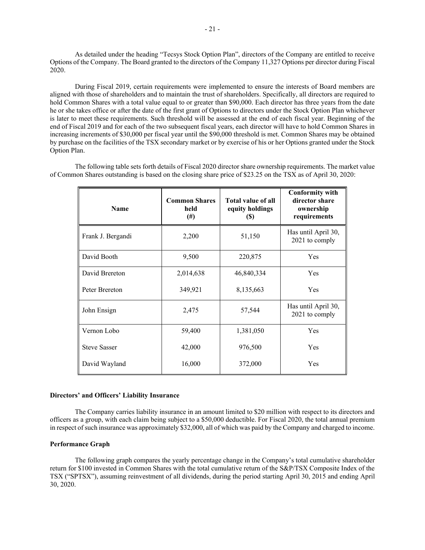As detailed under the heading "Tecsys Stock Option Plan", directors of the Company are entitled to receive Options of the Company. The Board granted to the directors of the Company 11,327 Options per director during Fiscal 2020.

During Fiscal 2019, certain requirements were implemented to ensure the interests of Board members are aligned with those of shareholders and to maintain the trust of shareholders. Specifically, all directors are required to hold Common Shares with a total value equal to or greater than \$90,000. Each director has three years from the date he or she takes office or after the date of the first grant of Options to directors under the Stock Option Plan whichever is later to meet these requirements. Such threshold will be assessed at the end of each fiscal year. Beginning of the end of Fiscal 2019 and for each of the two subsequent fiscal years, each director will have to hold Common Shares in increasing increments of \$30,000 per fiscal year until the \$90,000 threshold is met. Common Shares may be obtained by purchase on the facilities of the TSX secondary market or by exercise of his or her Options granted under the Stock Option Plan.

The following table sets forth details of Fiscal 2020 director share ownership requirements. The market value of Common Shares outstanding is based on the closing share price of \$23.25 on the TSX as of April 30, 2020:

| <b>Name</b>         | <b>Common Shares</b><br>held<br>$^{(#)}$ | <b>Total value of all</b><br>equity holdings<br><b>(S)</b> | <b>Conformity with</b><br>director share<br>ownership<br>requirements |
|---------------------|------------------------------------------|------------------------------------------------------------|-----------------------------------------------------------------------|
| Frank J. Bergandi   | 2,200                                    | 51,150                                                     | Has until April 30,<br>2021 to comply                                 |
| David Booth         | 9,500                                    | 220,875                                                    | Yes                                                                   |
| David Brereton      | 2,014,638                                | 46,840,334                                                 | Yes                                                                   |
| Peter Brereton      | 349,921                                  | 8,135,663                                                  | Yes                                                                   |
| John Ensign         | 2,475                                    | 57,544                                                     | Has until April 30,<br>2021 to comply                                 |
| Vernon Lobo         | 59,400                                   | 1,381,050                                                  | Yes                                                                   |
| <b>Steve Sasser</b> | 42,000                                   | 976,500                                                    | Yes                                                                   |
| David Wayland       | 16,000                                   | 372,000                                                    | Yes                                                                   |

#### **Directors' and Officers' Liability Insurance**

The Company carries liability insurance in an amount limited to \$20 million with respect to its directors and officers as a group, with each claim being subject to a \$50,000 deductible. For Fiscal 2020, the total annual premium in respect of such insurance was approximately \$32,000, all of which was paid by the Company and charged to income.

## **Performance Graph**

The following graph compares the yearly percentage change in the Company's total cumulative shareholder return for \$100 invested in Common Shares with the total cumulative return of the S&P/TSX Composite Index of the TSX ("SPTSX"), assuming reinvestment of all dividends, during the period starting April 30, 2015 and ending April 30, 2020.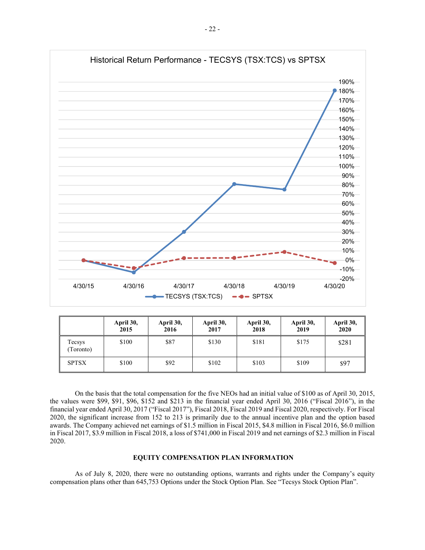

|                    | April 30,<br>2015 | April 30,<br>2016 | April 30,<br>2017 | April 30,<br>2018 | April 30,<br>2019 | April 30,<br>2020 |
|--------------------|-------------------|-------------------|-------------------|-------------------|-------------------|-------------------|
| Tecsys<br>Toronto) | \$100             | \$87              | \$130             | \$181             | \$175             | \$281             |
| <b>SPTSX</b>       | \$100             | \$92              | \$102             | \$103             | \$109             | \$97              |

On the basis that the total compensation for the five NEOs had an initial value of \$100 as of April 30, 2015, the values were \$99, \$91, \$96, \$152 and \$213 in the financial year ended April 30, 2016 ("Fiscal 2016"), in the financial year ended April 30, 2017 ("Fiscal 2017"), Fiscal 2018, Fiscal 2019 and Fiscal 2020, respectively. For Fiscal 2020, the significant increase from 152 to 213 is primarily due to the annual incentive plan and the option based awards. The Company achieved net earnings of \$1.5 million in Fiscal 2015, \$4.8 million in Fiscal 2016, \$6.0 million in Fiscal 2017, \$3.9 million in Fiscal 2018, a loss of \$741,000 in Fiscal 2019 and net earnings of \$2.3 million in Fiscal 2020.

## **EQUITY COMPENSATION PLAN INFORMATION**

As of July 8, 2020, there were no outstanding options, warrants and rights under the Company's equity compensation plans other than 645,753 Options under the Stock Option Plan. See "Tecsys Stock Option Plan".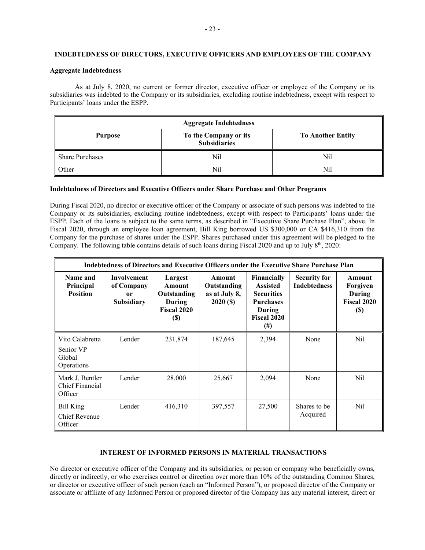## **INDEBTEDNESS OF DIRECTORS, EXECUTIVE OFFICERS AND EMPLOYEES OF THE COMPANY**

### **Aggregate Indebtedness**

As at July 8, 2020, no current or former director, executive officer or employee of the Company or its subsidiaries was indebted to the Company or its subsidiaries, excluding routine indebtedness, except with respect to Participants' loans under the ESPP.

| <b>Aggregate Indebtedness</b> |                          |     |  |  |  |
|-------------------------------|--------------------------|-----|--|--|--|
| <b>Purpose</b>                | <b>To Another Entity</b> |     |  |  |  |
| <b>Share Purchases</b>        | Nil                      | Nil |  |  |  |
| Other                         | Nil                      | Nil |  |  |  |

### **Indebtedness of Directors and Executive Officers under Share Purchase and Other Programs**

During Fiscal 2020, no director or executive officer of the Company or associate of such persons was indebted to the Company or its subsidiaries, excluding routine indebtedness, except with respect to Participants' loans under the ESPP. Each of the loans is subject to the same terms, as described in "Executive Share Purchase Plan", above. In Fiscal 2020, through an employee loan agreement, Bill King borrowed US \$300,000 or CA \$416,310 from the Company for the purchase of shares under the ESPP. Shares purchased under this agreement will be pledged to the Company. The following table contains details of such loans during Fiscal 2020 and up to July  $8<sup>th</sup>$ , 2020:

| Indebtedness of Directors and Executive Officers under the Executive Share Purchase Plan |                                                             |                                                                                 |                                                   |                                                                                                                     |                                            |                                                            |
|------------------------------------------------------------------------------------------|-------------------------------------------------------------|---------------------------------------------------------------------------------|---------------------------------------------------|---------------------------------------------------------------------------------------------------------------------|--------------------------------------------|------------------------------------------------------------|
| Name and<br>Principal<br><b>Position</b>                                                 | <b>Involvement</b><br>of Company<br>or<br><b>Subsidiary</b> | Largest<br>Amount<br>Outstanding<br>During<br><b>Fiscal 2020</b><br><b>(\$)</b> | Amount<br>Outstanding<br>as at July 8,<br>2020(S) | Financially<br><b>Assisted</b><br><b>Securities</b><br><b>Purchases</b><br>During<br><b>Fiscal 2020</b><br>$^{(#)}$ | <b>Security for</b><br><b>Indebtedness</b> | Amount<br>Forgiven<br>During<br>Fiscal 2020<br><b>(\$)</b> |
| Vito Calabretta<br>Senior VP<br>Global<br>Operations                                     | Lender                                                      | 231,874                                                                         | 187,645                                           | 2,394                                                                                                               | None                                       | Nil                                                        |
| Mark J. Bentler<br>Chief Financial<br>Officer                                            | Lender                                                      | 28,000                                                                          | 25,667                                            | 2,094                                                                                                               | None                                       | Nil                                                        |
| Bill King<br><b>Chief Revenue</b><br>Officer                                             | Lender                                                      | 416,310                                                                         | 397,557                                           | 27,500                                                                                                              | Shares to be<br>Acquired                   | Nil                                                        |

## **INTEREST OF INFORMED PERSONS IN MATERIAL TRANSACTIONS**

No director or executive officer of the Company and its subsidiaries, or person or company who beneficially owns, directly or indirectly, or who exercises control or direction over more than 10% of the outstanding Common Shares, or director or executive officer of such person (each an "Informed Person"), or proposed director of the Company or associate or affiliate of any Informed Person or proposed director of the Company has any material interest, direct or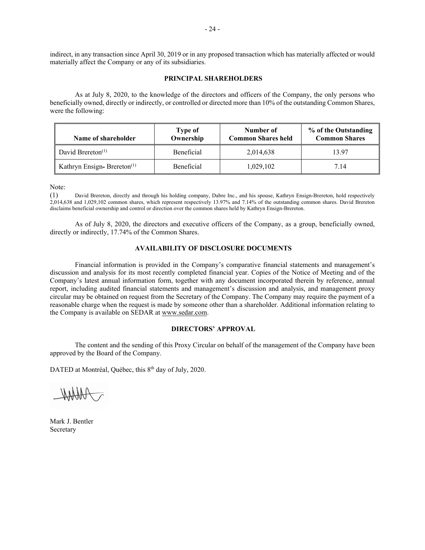indirect, in any transaction since April 30, 2019 or in any proposed transaction which has materially affected or would materially affect the Company or any of its subsidiaries.

## **PRINCIPAL SHAREHOLDERS**

As at July 8, 2020, to the knowledge of the directors and officers of the Company, the only persons who beneficially owned, directly or indirectly, or controlled or directed more than 10% of the outstanding Common Shares, were the following:

| Name of shareholder           | Type of<br>Ownership | Number of<br><b>Common Shares held</b> | % of the Outstanding<br><b>Common Shares</b> |
|-------------------------------|----------------------|----------------------------------------|----------------------------------------------|
| David Brereton <sup>(1)</sup> | Beneficial           | 2,014,638                              | 13.97                                        |
| Kathryn Ensign-Brereton $(1)$ | <b>Beneficial</b>    | 1,029,102                              | 7.14                                         |

Note:

(1) David Brereton, directly and through his holding company, Dabre Inc., and his spouse, Kathryn Ensign-Brereton, hold respectively 2,014,638 and 1,029,102 common shares, which represent respectively 13.97% and 7.14% of the outstanding common shares. David Brereton disclaims beneficial ownership and control or direction over the common shares held by Kathryn Ensign-Brereton.

As of July 8, 2020, the directors and executive officers of the Company, as a group, beneficially owned, directly or indirectly, 17.74% of the Common Shares.

# **AVAILABILITY OF DISCLOSURE DOCUMENTS**

Financial information is provided in the Company's comparative financial statements and management's discussion and analysis for its most recently completed financial year. Copies of the Notice of Meeting and of the Company's latest annual information form, together with any document incorporated therein by reference, annual report, including audited financial statements and management's discussion and analysis, and management proxy circular may be obtained on request from the Secretary of the Company. The Company may require the payment of a reasonable charge when the request is made by someone other than a shareholder. Additional information relating to the Company is available on SEDAR at www.sedar.com.

## **DIRECTORS' APPROVAL**

The content and the sending of this Proxy Circular on behalf of the management of the Company have been approved by the Board of the Company.

DATED at Montréal, Québec, this 8<sup>th</sup> day of July, 2020.

Mark J. Bentler Secretary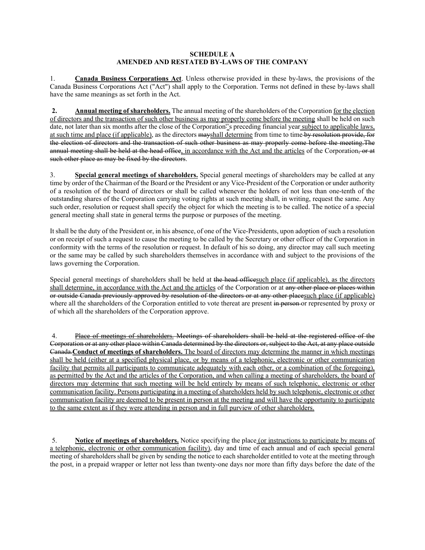## **SCHEDULE A AMENDED AND RESTATED BY-LAWS OF THE COMPANY**

1. **Canada Business Corporations Act**. Unless otherwise provided in these by-laws, the provisions of the Canada Business Corporations Act ("Act") shall apply to the Corporation. Terms not defined in these by-laws shall have the same meanings as set forth in the Act.

**2. Annual meeting of shareholders.** The annual meeting of the shareholders of the Corporation for the election of directors and the transaction of such other business as may properly come before the meeting shall be held on such date, not later than six months after the close of the Corporation''s preceding financial year subject to applicable laws, at such time and place (if applicable), as the directors mayshall determine from time to time by resolution provide, for the election of directors and the transaction of such other business as may properly come before the meeting.The annual meeting shall be held at the head office, in accordance with the Act and the articles of the Corporation, or at such other place as may be fixed by the directors.

3. **Special general meetings of shareholders.** Special general meetings of shareholders may be called at any time by order of the Chairman of the Board or the President or any Vice-President of the Corporation or under authority of a resolution of the board of directors or shall be called whenever the holders of not less than one-tenth of the outstanding shares of the Corporation carrying voting rights at such meeting shall, in writing, request the same. Any such order, resolution or request shall specify the object for which the meeting is to be called. The notice of a special general meeting shall state in general terms the purpose or purposes of the meeting.

It shall be the duty of the President or, in his absence, of one of the Vice-Presidents, upon adoption of such a resolution or on receipt of such a request to cause the meeting to be called by the Secretary or other officer of the Corporation in conformity with the terms of the resolution or request. In default of his so doing, any director may call such meeting or the same may be called by such shareholders themselves in accordance with and subject to the provisions of the laws governing the Corporation.

Special general meetings of shareholders shall be held at the head officesuch place (if applicable), as the directors shall determine, in accordance with the Act and the articles of the Corporation or at any other place or places within or outside Canada previously approved by resolution of the directors or at any other placesuch place (if applicable) where all the shareholders of the Corporation entitled to vote thereat are present in person or represented by proxy or of which all the shareholders of the Corporation approve.

4. Place of meetings of shareholders. Meetings of shareholders shall be held at the registered office of the Corporation or at any other place within Canada determined by the directors or, subject to the Act, at any place outside Canada.**Conduct of meetings of shareholders.** The board of directors may determine the manner in which meetings shall be held (either at a specified physical place, or by means of a telephonic, electronic or other communication facility that permits all participants to communicate adequately with each other, or a combination of the foregoing), as permitted by the Act and the articles of the Corporation, and when calling a meeting of shareholders, the board of directors may determine that such meeting will be held entirely by means of such telephonic, electronic or other communication facility. Persons participating in a meeting of shareholders held by such telephonic, electronic or other communication facility are deemed to be present in person at the meeting and will have the opportunity to participate to the same extent as if they were attending in person and in full purview of other shareholders.

5. **Notice of meetings of shareholders.** Notice specifying the place (or instructions to participate by means of a telephonic, electronic or other communication facility), day and time of each annual and of each special general meeting of shareholders shall be given by sending the notice to each shareholder entitled to vote at the meeting through the post, in a prepaid wrapper or letter not less than twenty-one days nor more than fifty days before the date of the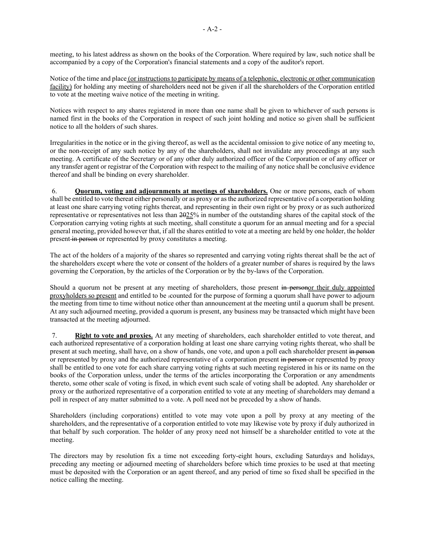meeting, to his latest address as shown on the books of the Corporation. Where required by law, such notice shall be accompanied by a copy of the Corporation's financial statements and a copy of the auditor's report.

Notice of the time and place (or instructions to participate by means of a telephonic, electronic or other communication facility) for holding any meeting of shareholders need not be given if all the shareholders of the Corporation entitled to vote at the meeting waive notice of the meeting in writing.

Notices with respect to any shares registered in more than one name shall be given to whichever of such persons is named first in the books of the Corporation in respect of such joint holding and notice so given shall be sufficient notice to all the holders of such shares.

Irregularities in the notice or in the giving thereof, as well as the accidental omission to give notice of any meeting to, or the non-receipt of any such notice by any of the shareholders, shall not invalidate any proceedings at any such meeting. A certificate of the Secretary or of any other duly authorized officer of the Corporation or of any officer or any transfer agent or registrar of the Corporation with respect to the mailing of any notice shall be conclusive evidence thereof and shall be binding on every shareholder.

6. **Quorum, voting and adjournments at meetings of shareholders.** One or more persons, each of whom shall be entitled to vote thereat either personally or as proxy or as the authorized representative of a corporation holding at least one share carrying voting rights thereat, and representing in their own right or by proxy or as such authorized representative or representatives not less than 2025% in number of the outstanding shares of the capital stock of the Corporation carrying voting rights at such meeting, shall constitute a quorum for an annual meeting and for a special general meeting, provided however that, if all the shares entitled to vote at a meeting are held by one holder, the holder present in person or represented by proxy constitutes a meeting.

The act of the holders of a majority of the shares so represented and carrying voting rights thereat shall be the act of the shareholders except where the vote or consent of the holders of a greater number of shares is required by the laws governing the Corporation, by the articles of the Corporation or by the by-laws of the Corporation.

Should a quorum not be present at any meeting of shareholders, those present in personor their duly appointed proxyholders so present and entitled to be .counted for the purpose of forming a quorum shall have power to adjourn the meeting from time to time without notice other than announcement at the meeting until a quorum shall be present. At any such adjourned meeting, provided a quorum is present, any business may be transacted which might have been transacted at the meeting adjourned.

7. **Right to vote and proxies.** At any meeting of shareholders, each shareholder entitled to vote thereat, and each authorized representative of a corporation holding at least one share carrying voting rights thereat, who shall be present at such meeting, shall have, on a show of hands, one vote, and upon a poll each shareholder present in person or represented by proxy and the authorized representative of a corporation present in person or represented by proxy shall be entitled to one vote for each share carrying voting rights at such meeting registered in his or its name on the books of the Corporation unless, under the terms of the articles incorporating the Corporation or any amendments thereto, some other scale of voting is fixed, in which event such scale of voting shall be adopted. Any shareholder or proxy or the authorized representative of a corporation entitled to vote at any meeting of shareholders may demand a poll in respect of any matter submitted to a vote. A poll need not be preceded by a show of hands.

Shareholders (including corporations) entitled to vote may vote upon a poll by proxy at any meeting of the shareholders, and the representative of a corporation entitled to vote may likewise vote by proxy if duly authorized in that behalf by such corporation. The holder of any proxy need not himself be a shareholder entitled to vote at the meeting.

The directors may by resolution fix a time not exceeding forty-eight hours, excluding Saturdays and holidays, preceding any meeting or adjourned meeting of shareholders before which time proxies to be used at that meeting must be deposited with the Corporation or an agent thereof, and any period of time so fixed shall be specified in the notice calling the meeting.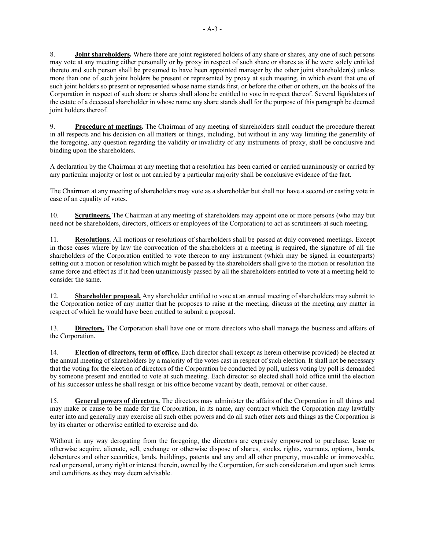8. **Joint shareholders.** Where there are joint registered holders of any share or shares, any one of such persons may vote at any meeting either personally or by proxy in respect of such share or shares as if he were solely entitled thereto and such person shall be presumed to have been appointed manager by the other joint shareholder(s) unless more than one of such joint holders be present or represented by proxy at such meeting, in which event that one of such joint holders so present or represented whose name stands first, or before the other or others, on the books of the Corporation in respect of such share or shares shall alone be entitled to vote in respect thereof. Several liquidators of the estate of a deceased shareholder in whose name any share stands shall for the purpose of this paragraph be deemed joint holders thereof.

9. **Procedure at meetings.** The Chairman of any meeting of shareholders shall conduct the procedure thereat in all respects and his decision on all matters or things, including, but without in any way limiting the generality of the foregoing, any question regarding the validity or invalidity of any instruments of proxy, shall be conclusive and binding upon the shareholders.

A declaration by the Chairman at any meeting that a resolution has been carried or carried unanimously or carried by any particular majority or lost or not carried by a particular majority shall be conclusive evidence of the fact.

The Chairman at any meeting of shareholders may vote as a shareholder but shall not have a second or casting vote in case of an equality of votes.

10. **Scrutineers.** The Chairman at any meeting of shareholders may appoint one or more persons (who may but need not be shareholders, directors, officers or employees of the Corporation) to act as scrutineers at such meeting.

11. **Resolutions.** All motions or resolutions of shareholders shall be passed at duly convened meetings. Except in those cases where by law the convocation of the shareholders at a meeting is required, the signature of all the shareholders of the Corporation entitled to vote thereon to any instrument (which may be signed in counterparts) setting out a motion or resolution which might be passed by the shareholders shall give to the motion or resolution the same force and effect as if it had been unanimously passed by all the shareholders entitled to vote at a meeting held to consider the same.

12. **Shareholder proposal.** Any shareholder entitled to vote at an annual meeting of shareholders may submit to the Corporation notice of any matter that he proposes to raise at the meeting, discuss at the meeting any matter in respect of which he would have been entitled to submit a proposal.

13. **Directors.** The Corporation shall have one or more directors who shall manage the business and affairs of the Corporation.

14. **Election of directors, term of office.** Each director shall (except as herein otherwise provided) be elected at the annual meeting of shareholders by a majority of the votes cast in respect of such election. It shall not be necessary that the voting for the election of directors of the Corporation be conducted by poll, unless voting by poll is demanded by someone present and entitled to vote at such meeting. Each director so elected shall hold office until the election of his successor unless he shall resign or his office become vacant by death, removal or other cause.

15. **General powers of directors.** The directors may administer the affairs of the Corporation in all things and may make or cause to be made for the Corporation, in its name, any contract which the Corporation may lawfully enter into and generally may exercise all such other powers and do all such other acts and things as the Corporation is by its charter or otherwise entitled to exercise and do.

Without in any way derogating from the foregoing, the directors are expressly empowered to purchase, lease or otherwise acquire, alienate, sell, exchange or otherwise dispose of shares, stocks, rights, warrants, options, bonds, debentures and other securities, lands, buildings, patents and any and all other property, moveable or immoveable, real or personal, or any right or interest therein, owned by the Corporation, for such consideration and upon such terms and conditions as they may deem advisable.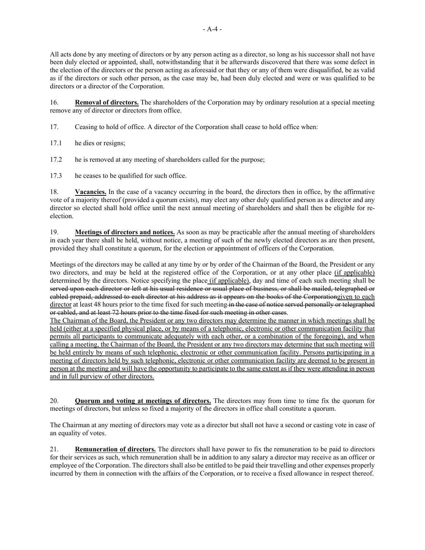All acts done by any meeting of directors or by any person acting as a director, so long as his successor shall not have been duly elected or appointed, shall, notwithstanding that it be afterwards discovered that there was some defect in the election of the directors or the person acting as aforesaid or that they or any of them were disqualified, be as valid as if the directors or such other person, as the case may be, had been duly elected and were or was qualified to be directors or a director of the Corporation.

16. **Removal of directors.** The shareholders of the Corporation may by ordinary resolution at a special meeting remove any of director or directors from office.

- 17. Ceasing to hold of office. A director of the Corporation shall cease to hold office when:
- 17.1 he dies or resigns;
- 17.2 he is removed at any meeting of shareholders called for the purpose;
- 17.3 he ceases to be qualified for such office.

18. **Vacancies.** In the case of a vacancy occurring in the board, the directors then in office, by the affirmative vote of a majority thereof (provided a quorum exists), may elect any other duly qualified person as a director and any director so elected shall hold office until the next annual meeting of shareholders and shall then be eligible for reelection.

19. **Meetings of directors and notices.** As soon as may be practicable after the annual meeting of shareholders in each year there shall be held, without notice, a meeting of such of the newly elected directors as are then present, provided they shall constitute a quorum, for the election or appointment of officers of the Corporation.

Meetings of the directors may be called at any time by or by order of the Chairman of the Board, the President or any two directors, and may be held at the registered office of the Corporation, or at any other place (if applicable) determined by the directors. Notice specifying the place (if applicable), day and time of each such meeting shall be served upon each director or left at his usual residence or usual place of business, or shall be mailed, telegraphed or cabled prepaid, addressed to each director at his address as it appears on the books of the Corporationgiven to each director at least 48 hours prior to the time fixed for such meeting in the case of notice served personally or telegraphed or cabled, and at least 72 hours prior to the time fixed for such meeting in other cases.

The Chairman of the Board, the President or any two directors may determine the manner in which meetings shall be held (either at a specified physical place, or by means of a telephonic, electronic or other communication facility that permits all participants to communicate adequately with each other, or a combination of the foregoing), and when calling a meeting, the Chairman of the Board, the President or any two directors may determine that such meeting will be held entirely by means of such telephonic, electronic or other communication facility. Persons participating in a meeting of directors held by such telephonic, electronic or other communication facility are deemed to be present in person at the meeting and will have the opportunity to participate to the same extent as if they were attending in person and in full purview of other directors.

20. **Quorum and voting at meetings of directors.** The directors may from time to time fix the quorum for meetings of directors, but unless so fixed a majority of the directors in office shall constitute a quorum.

The Chairman at any meeting of directors may vote as a director but shall not have a second or casting vote in case of an equality of votes.

21. **Remuneration of directors.** The directors shall have power to fix the remuneration to be paid to directors for their services as such, which remuneration shall be in addition to any salary a director may receive as an officer or employee of the Corporation. The directors shall also be entitled to be paid their travelling and other expenses properly incurred by them in connection with the affairs of the Corporation, or to receive a fixed allowance in respect thereof.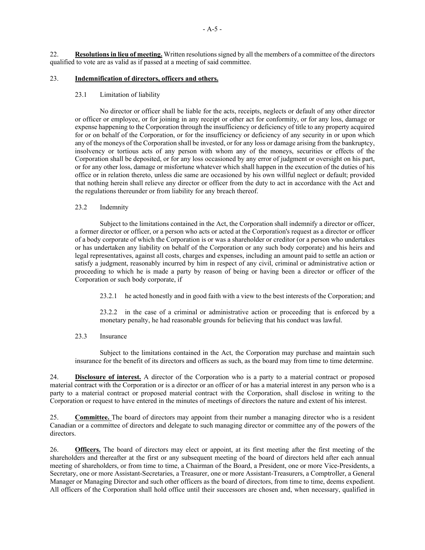22. **Resolutions in lieu of meeting.** Written resolutions signed by all the members of a committee of the directors qualified to vote are as valid as if passed at a meeting of said committee.

# 23. **Indemnification of directors, officers and others.**

# 23.1 Limitation of liability

No director or officer shall be liable for the acts, receipts, neglects or default of any other director or officer or employee, or for joining in any receipt or other act for conformity, or for any loss, damage or expense happening to the Corporation through the insufficiency or deficiency of title to any property acquired for or on behalf of the Corporation, or for the insufficiency or deficiency of any security in or upon which any of the moneys of the Corporation shall be invested, or for any loss or damage arising from the bankruptcy, insolvency or tortious acts of any person with whom any of the moneys, securities or effects of the Corporation shall be deposited, or for any loss occasioned by any error of judgment or oversight on his part, or for any other loss, damage or misfortune whatever which shall happen in the execution of the duties of his office or in relation thereto, unless die same are occasioned by his own willful neglect or default; provided that nothing herein shall relieve any director or officer from the duty to act in accordance with the Act and the regulations thereunder or from liability for any breach thereof.

## 23.2 Indemnity

Subject to the limitations contained in the Act, the Corporation shall indemnify a director or officer, a former director or officer, or a person who acts or acted at the Corporation's request as a director or officer of a body corporate of which the Corporation is or was a shareholder or creditor (or a person who undertakes or has undertaken any liability on behalf of the Corporation or any such body corporate) and his heirs and legal representatives, against all costs, charges and expenses, including an amount paid to settle an action or satisfy a judgment, reasonably incurred by him in respect of any civil, criminal or administrative action or proceeding to which he is made a party by reason of being or having been a director or officer of the Corporation or such body corporate, if

23.2.1 he acted honestly and in good faith with a view to the best interests of the Corporation; and

23.2.2 in the case of a criminal or administrative action or proceeding that is enforced by a monetary penalty, he had reasonable grounds for believing that his conduct was lawful.

# 23.3 Insurance

Subject to the limitations contained in the Act, the Corporation may purchase and maintain such insurance for the benefit of its directors and officers as such, as the board may from time to time determine.

24. **Disclosure of interest.** A director of the Corporation who is a party to a material contract or proposed material contract with the Corporation or is a director or an officer of or has a material interest in any person who is a party to a material contract or proposed material contract with the Corporation, shall disclose in writing to the Corporation or request to have entered in the minutes of meetings of directors the nature and extent of his interest.

25. **Committee.** The board of directors may appoint from their number a managing director who is a resident Canadian or a committee of directors and delegate to such managing director or committee any of the powers of the directors.

26. **Officers.** The board of directors may elect or appoint, at its first meeting after the first meeting of the shareholders and thereafter at the first or any subsequent meeting of the board of directors held after each annual meeting of shareholders, or from time to time, a Chairman of the Board, a President, one or more Vice-Presidents, a Secretary, one or more Assistant-Secretaries, a Treasurer, one or more Assistant-Treasurers, a Comptroller, a General Manager or Managing Director and such other officers as the board of directors, from time to time, deems expedient. All officers of the Corporation shall hold office until their successors are chosen and, when necessary, qualified in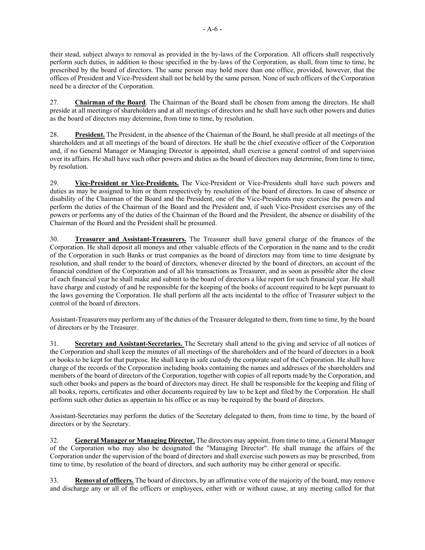their stead, subject always to removal as provided in the by-laws of the Corporation. All officers shall respectively perform such duties, in addition to those specified in the by-laws of the Corporation, as shall, from time to time, be prescribed by the board of directors. The same person may hold more than one office, provided, however, that the offices of President and Vice-President shall not be held by the same person. None of such officers of the Corporation need be a director of the Corporation.

27. **Chairman of the Board**. The Chairman of the Board shall be chosen from among the directors. He shall preside at all meetings of shareholders and at all meetings of directors and he shall have such other powers and duties as the board of directors may determine, from time to time, by resolution.

28. **President.** The President, in the absence of the Chairman of the Board, he shall preside at all meetings of the shareholders and at all meetings of the board of directors. He shall be the chief executive officer of the Corporation and, if no General Manager or Managing Director is appointed, shall exercise a general control of and supervision over its affairs. He shall have such other powers and duties as the board of directors may determine, from time to time, by resolution.

29. **Vice-President or Vice-Presidents.** The Vice-President or Vice-Presidents shall have such powers and duties as may be assigned to him or them respectively by resolution of the board of directors. In case of absence or disability of the Chairman of the Board and the President, one of the Vice-Presidents may exercise the powers and perform the duties of the Chairman of the Board and the President and, if such Vice-President exercises any of the powers or performs any of the duties of the Chairman of the Board and the President, the absence or disability of the Chairman of the Board and the President shall be presumed.

30. **Treasurer and Assistant-Treasurers.** The Treasurer shall have general charge of the finances of the Corporation. He shall deposit all moneys and other valuable effects of the Corporation in the name and to the credit of the Corporation in such Banks or trust companies as the board of directors may from time to time designate by resolution, and shall render to the board of directors, whenever directed by the board of directors, an account of the financial condition of the Corporation and of all his transactions as Treasurer, and as soon as possible alter the close of each financial year he shall make and submit to the board of directors a like report for such financial year. He shall have charge and custody of and be responsible for the keeping of the books of account required to be kept pursuant to the laws governing the Corporation. He shall perform all the acts incidental to the office of Treasurer subject to the control of the board of directors.

Assistant-Treasurers may perform any of the duties of the Treasurer delegated to them, from time to time, by the board of directors or by the Treasurer.

31. **Secretary and Assistant-Secretaries.** The Secretary shall attend to the giving and service of all notices of the Corporation and shall keep the minutes of all meetings of the shareholders and of the board of directors in a book or books to be kept for that purpose. He shall keep in safe custody the corporate seal of the Corporation. He shall have charge of the records of the Corporation including books containing the names and addresses of the shareholders and members of the board of directors of the Corporation, together with copies of all reports made by the Corporation, and such other books and papers as the board of directors may direct. He shall be responsible for the keeping and filing of all books, reports, certificates and other documents required by law to be kept and filed by the Corporation. He shall perform such other duties as appertain to his office or as may be required by the board of directors.

Assistant-Secretaries may perform the duties of the Secretary delegated to them, from time to time, by the board of directors or by the Secretary.

32. **General Manager or Managing Director.** The directors may appoint, from time to time, a General Manager of the Corporation who may also be designated the "Managing Director". He shall manage the affairs of the Corporation under the supervision of the board of directors and shall exercise such powers as may be prescribed, from time to time, by resolution of the board of directors, and such authority may be either general or specific.

33. **Removal of officers.** The board of directors, by an affirmative vote of the majority of the board, may remove and discharge any or all of the officers or employees, either with or without cause, at any meeting called for that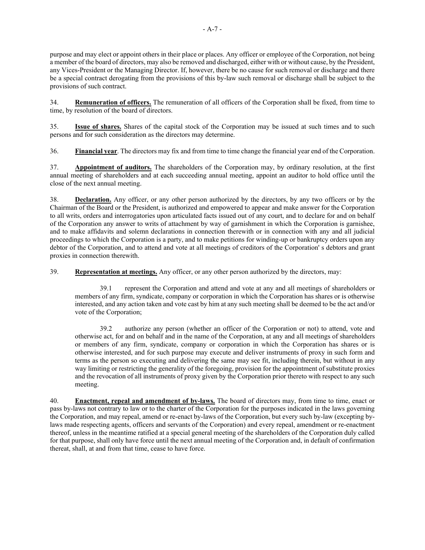purpose and may elect or appoint others in their place or places. Any officer or employee of the Corporation, not being a member of the board of directors, may also be removed and discharged, either with or without cause, by the President, any Vices-President or the Managing Director. If, however, there be no cause for such removal or discharge and there be a special contract derogating from the provisions of this by-law such removal or discharge shall be subject to the provisions of such contract.

34. **Remuneration of officers.** The remuneration of all officers of the Corporation shall be fixed, from time to time, by resolution of the board of directors.

35. **Issue of shares.** Shares of the capital stock of the Corporation may be issued at such times and to such persons and for such consideration as the directors may determine.

36. **Financial year**. The directors may fix and from time to time change the financial year end of the Corporation.

37. **Appointment of auditors.** The shareholders of the Corporation may, by ordinary resolution, at the first annual meeting of shareholders and at each succeeding annual meeting, appoint an auditor to hold office until the close of the next annual meeting.

38. **Declaration.** Any officer, or any other person authorized by the directors, by any two officers or by the Chairman of the Board or the President, is authorized and empowered to appear and make answer for the Corporation to all writs, orders and interrogatories upon articulated facts issued out of any court, and to declare for and on behalf of the Corporation any answer to writs of attachment by way of garnishment in which the Corporation is garnishee, and to make affidavits and solemn declarations in connection therewith or in connection with any and all judicial proceedings to which the Corporation is a party, and to make petitions for winding-up or bankruptcy orders upon any debtor of the Corporation, and to attend and vote at all meetings of creditors of the Corporation' s debtors and grant proxies in connection therewith.

39. **Representation at meetings.** Any officer, or any other person authorized by the directors, may:

39.1 represent the Corporation and attend and vote at any and all meetings of shareholders or members of any firm, syndicate, company or corporation in which the Corporation has shares or is otherwise interested, and any action taken and vote cast by him at any such meeting shall be deemed to be the act and/or vote of the Corporation;

39.2 authorize any person (whether an officer of the Corporation or not) to attend, vote and otherwise act, for and on behalf and in the name of the Corporation, at any and all meetings of shareholders or members of any firm, syndicate, company or corporation in which the Corporation has shares or is otherwise interested, and for such purpose may execute and deliver instruments of proxy in such form and terms as the person so executing and delivering the same may see fit, including therein, but without in any way limiting or restricting the generality of the foregoing, provision for the appointment of substitute proxies and the revocation of all instruments of proxy given by the Corporation prior thereto with respect to any such meeting.

40. **Enactment, repeal and amendment of by-laws.** The board of directors may, from time to time, enact or pass by-laws not contrary to law or to the charter of the Corporation for the purposes indicated in the laws governing the Corporation, and may repeal, amend or re-enact by-laws of the Corporation, but every such by-law (excepting bylaws made respecting agents, officers and servants of the Corporation) and every repeal, amendment or re-enactment thereof, unless in the meantime ratified at a special general meeting of the shareholders of the Corporation duly called for that purpose, shall only have force until the next annual meeting of the Corporation and, in default of confirmation thereat, shall, at and from that time, cease to have force.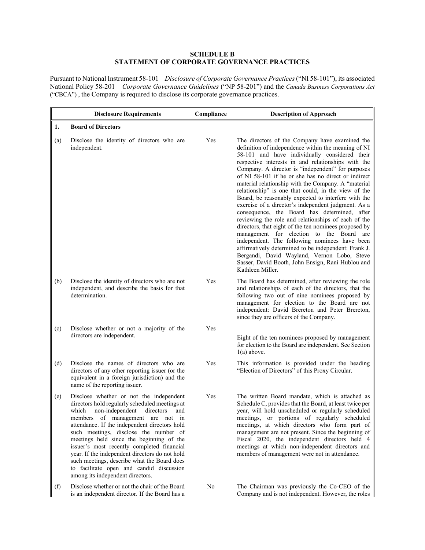# **SCHEDULE B STATEMENT OF CORPORATE GOVERNANCE PRACTICES**

Pursuant to National Instrument 58-101 – *Disclosure of Corporate Governance Practices* ("NI 58-101"), its associated National Policy 58-201 – *Corporate Governance Guidelines* ("NP 58-201") and the *Canada Business Corporations Act* ("CBCA") , the Company is required to disclose its corporate governance practices.

|     | <b>Disclosure Requirements</b>                                                                                                                                                                                                                                                                                                                                                                                                                                                                                                                     | Compliance | <b>Description of Approach</b>                                                                                                                                                                                                                                                                                                                                                                                                                                                                                                                                                                                                                                                                                                                                                                                                                                                                                                                                                                    |
|-----|----------------------------------------------------------------------------------------------------------------------------------------------------------------------------------------------------------------------------------------------------------------------------------------------------------------------------------------------------------------------------------------------------------------------------------------------------------------------------------------------------------------------------------------------------|------------|---------------------------------------------------------------------------------------------------------------------------------------------------------------------------------------------------------------------------------------------------------------------------------------------------------------------------------------------------------------------------------------------------------------------------------------------------------------------------------------------------------------------------------------------------------------------------------------------------------------------------------------------------------------------------------------------------------------------------------------------------------------------------------------------------------------------------------------------------------------------------------------------------------------------------------------------------------------------------------------------------|
| 1.  | <b>Board of Directors</b>                                                                                                                                                                                                                                                                                                                                                                                                                                                                                                                          |            |                                                                                                                                                                                                                                                                                                                                                                                                                                                                                                                                                                                                                                                                                                                                                                                                                                                                                                                                                                                                   |
| (a) | Disclose the identity of directors who are<br>independent.                                                                                                                                                                                                                                                                                                                                                                                                                                                                                         | Yes        | The directors of the Company have examined the<br>definition of independence within the meaning of NI<br>58-101 and have individually considered their<br>respective interests in and relationships with the<br>Company. A director is "independent" for purposes<br>of NI 58-101 if he or she has no direct or indirect<br>material relationship with the Company. A "material<br>relationship" is one that could, in the view of the<br>Board, be reasonably expected to interfere with the<br>exercise of a director's independent judgment. As a<br>consequence, the Board has determined, after<br>reviewing the role and relationships of each of the<br>directors, that eight of the ten nominees proposed by<br>management for election to the Board are<br>independent. The following nominees have been<br>affirmatively determined to be independent: Frank J.<br>Bergandi, David Wayland, Vernon Lobo, Steve<br>Sasser, David Booth, John Ensign, Rani Hublou and<br>Kathleen Miller. |
| (b) | Disclose the identity of directors who are not<br>independent, and describe the basis for that<br>determination.                                                                                                                                                                                                                                                                                                                                                                                                                                   | Yes        | The Board has determined, after reviewing the role<br>and relationships of each of the directors, that the<br>following two out of nine nominees proposed by<br>management for election to the Board are not<br>independent: David Brereton and Peter Brereton,<br>since they are officers of the Company.                                                                                                                                                                                                                                                                                                                                                                                                                                                                                                                                                                                                                                                                                        |
| (c) | Disclose whether or not a majority of the<br>directors are independent.                                                                                                                                                                                                                                                                                                                                                                                                                                                                            | Yes        | Eight of the ten nominees proposed by management<br>for election to the Board are independent. See Section<br>$1(a)$ above.                                                                                                                                                                                                                                                                                                                                                                                                                                                                                                                                                                                                                                                                                                                                                                                                                                                                       |
| (d) | Disclose the names of directors who are<br>directors of any other reporting issuer (or the<br>equivalent in a foreign jurisdiction) and the<br>name of the reporting issuer.                                                                                                                                                                                                                                                                                                                                                                       | Yes        | This information is provided under the heading<br>"Election of Directors" of this Proxy Circular.                                                                                                                                                                                                                                                                                                                                                                                                                                                                                                                                                                                                                                                                                                                                                                                                                                                                                                 |
| (e) | Disclose whether or not the independent<br>directors hold regularly scheduled meetings at<br>non-independent<br>directors<br>which<br>and<br>members of management are not in<br>attendance. If the independent directors hold<br>such meetings, disclose the number of<br>meetings held since the beginning of the<br>issuer's most recently completed financial<br>year. If the independent directors do not hold<br>such meetings, describe what the Board does<br>to facilitate open and candid discussion<br>among its independent directors. | Yes        | The written Board mandate, which is attached as<br>Schedule C, provides that the Board, at least twice per<br>year, will hold unscheduled or regularly scheduled<br>meetings, or portions of regularly scheduled<br>meetings, at which directors who form part of<br>management are not present. Since the beginning of<br>Fiscal 2020, the independent directors held 4<br>meetings at which non-independent directors and<br>members of management were not in attendance.                                                                                                                                                                                                                                                                                                                                                                                                                                                                                                                      |
| (f) | Disclose whether or not the chair of the Board<br>is an independent director. If the Board has a                                                                                                                                                                                                                                                                                                                                                                                                                                                   | No         | The Chairman was previously the Co-CEO of the<br>Company and is not independent. However, the roles                                                                                                                                                                                                                                                                                                                                                                                                                                                                                                                                                                                                                                                                                                                                                                                                                                                                                               |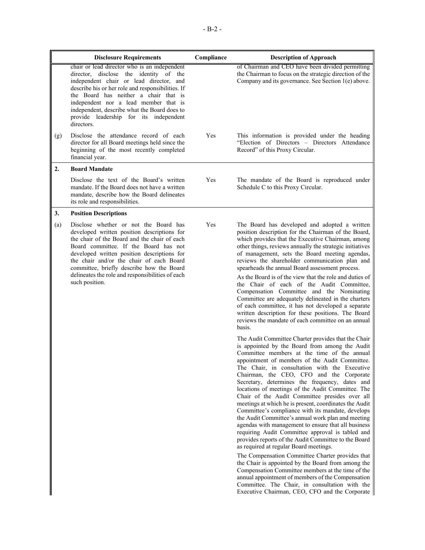|     | <b>Disclosure Requirements</b>                                                                                                                                                                                                                                                                                                                                                              | Compliance | <b>Description of Approach</b>                                                                                                                                                                                                                                                                                                                                                                                                                                                                                                                                                                                                                                                                                                                                                                                                                                                                                                                                                                                                                                                                                                                                         |
|-----|---------------------------------------------------------------------------------------------------------------------------------------------------------------------------------------------------------------------------------------------------------------------------------------------------------------------------------------------------------------------------------------------|------------|------------------------------------------------------------------------------------------------------------------------------------------------------------------------------------------------------------------------------------------------------------------------------------------------------------------------------------------------------------------------------------------------------------------------------------------------------------------------------------------------------------------------------------------------------------------------------------------------------------------------------------------------------------------------------------------------------------------------------------------------------------------------------------------------------------------------------------------------------------------------------------------------------------------------------------------------------------------------------------------------------------------------------------------------------------------------------------------------------------------------------------------------------------------------|
|     | chair or lead director who is an independent<br>director, disclose the identity of the<br>independent chair or lead director, and<br>describe his or her role and responsibilities. If<br>the Board has neither a chair that is<br>independent nor a lead member that is<br>independent, describe what the Board does to<br>provide leadership for its independent<br>directors.            |            | of Chairman and CEO have been divided permitting<br>the Chairman to focus on the strategic direction of the<br>Company and its governance. See Section 1(e) above.                                                                                                                                                                                                                                                                                                                                                                                                                                                                                                                                                                                                                                                                                                                                                                                                                                                                                                                                                                                                     |
| (g) | Disclose the attendance record of each<br>director for all Board meetings held since the<br>beginning of the most recently completed<br>financial year.                                                                                                                                                                                                                                     | Yes        | This information is provided under the heading<br>"Election of Directors - Directors Attendance<br>Record" of this Proxy Circular.                                                                                                                                                                                                                                                                                                                                                                                                                                                                                                                                                                                                                                                                                                                                                                                                                                                                                                                                                                                                                                     |
| 2.  | <b>Board Mandate</b>                                                                                                                                                                                                                                                                                                                                                                        |            |                                                                                                                                                                                                                                                                                                                                                                                                                                                                                                                                                                                                                                                                                                                                                                                                                                                                                                                                                                                                                                                                                                                                                                        |
|     | Disclose the text of the Board's written<br>mandate. If the Board does not have a written<br>mandate, describe how the Board delineates<br>its role and responsibilities.                                                                                                                                                                                                                   | Yes        | The mandate of the Board is reproduced under<br>Schedule C to this Proxy Circular.                                                                                                                                                                                                                                                                                                                                                                                                                                                                                                                                                                                                                                                                                                                                                                                                                                                                                                                                                                                                                                                                                     |
| 3.  | <b>Position Descriptions</b>                                                                                                                                                                                                                                                                                                                                                                |            |                                                                                                                                                                                                                                                                                                                                                                                                                                                                                                                                                                                                                                                                                                                                                                                                                                                                                                                                                                                                                                                                                                                                                                        |
| (a) | Disclose whether or not the Board has<br>developed written position descriptions for<br>the chair of the Board and the chair of each<br>Board committee. If the Board has not<br>developed written position descriptions for<br>the chair and/or the chair of each Board<br>committee, briefly describe how the Board<br>delineates the role and responsibilities of each<br>such position. | Yes        | The Board has developed and adopted a written<br>position description for the Chairman of the Board,<br>which provides that the Executive Chairman, among<br>other things, reviews annually the strategic initiatives<br>of management, sets the Board meeting agendas,<br>reviews the shareholder communication plan and<br>spearheads the annual Board assessment process.<br>As the Board is of the view that the role and duties of<br>the Chair of each of the Audit Committee,<br>Compensation Committee and the Nominating<br>Committee are adequately delineated in the charters<br>of each committee, it has not developed a separate<br>written description for these positions. The Board<br>reviews the mandate of each committee on an annual<br>basis.                                                                                                                                                                                                                                                                                                                                                                                                   |
|     |                                                                                                                                                                                                                                                                                                                                                                                             |            | The Audit Committee Charter provides that the Chair<br>is appointed by the Board from among the Audit<br>Committee members at the time of the annual<br>appointment of members of the Audit Committee.<br>The Chair, in consultation with the Executive<br>Chairman, the CEO, CFO and the Corporate<br>Secretary, determines the frequency, dates and<br>locations of meetings of the Audit Committee. The<br>Chair of the Audit Committee presides over all<br>meetings at which he is present, coordinates the Audit<br>Committee's compliance with its mandate, develops<br>the Audit Committee's annual work plan and meeting<br>agendas with management to ensure that all business<br>requiring Audit Committee approval is tabled and<br>provides reports of the Audit Committee to the Board<br>as required at regular Board meetings.<br>The Compensation Committee Charter provides that<br>the Chair is appointed by the Board from among the<br>Compensation Committee members at the time of the<br>annual appointment of members of the Compensation<br>Committee. The Chair, in consultation with the<br>Executive Chairman, CEO, CFO and the Corporate |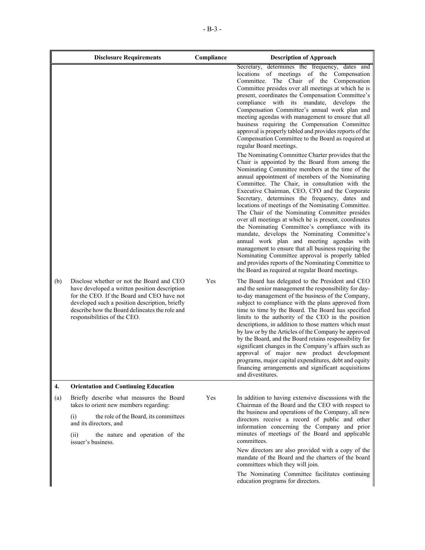|     | <b>Disclosure Requirements</b>                                                                                                                                                                                                                                               | Compliance | <b>Description of Approach</b>                                                                                                                                                                                                                                                                                                                                                                                                                                                                                                                                                                                                                                                                                                                                                                                                                                                                          |
|-----|------------------------------------------------------------------------------------------------------------------------------------------------------------------------------------------------------------------------------------------------------------------------------|------------|---------------------------------------------------------------------------------------------------------------------------------------------------------------------------------------------------------------------------------------------------------------------------------------------------------------------------------------------------------------------------------------------------------------------------------------------------------------------------------------------------------------------------------------------------------------------------------------------------------------------------------------------------------------------------------------------------------------------------------------------------------------------------------------------------------------------------------------------------------------------------------------------------------|
|     |                                                                                                                                                                                                                                                                              |            | Secretary, determines the frequency, dates and<br>locations of meetings of the<br>Compensation<br>Committee. The Chair of the Compensation<br>Committee presides over all meetings at which he is<br>present, coordinates the Compensation Committee's<br>compliance with its mandate, develops the<br>Compensation Committee's annual work plan and<br>meeting agendas with management to ensure that all<br>business requiring the Compensation Committee<br>approval is properly tabled and provides reports of the<br>Compensation Committee to the Board as required at<br>regular Board meetings.                                                                                                                                                                                                                                                                                                 |
|     |                                                                                                                                                                                                                                                                              |            | The Nominating Committee Charter provides that the<br>Chair is appointed by the Board from among the<br>Nominating Committee members at the time of the<br>annual appointment of members of the Nominating<br>Committee. The Chair, in consultation with the<br>Executive Chairman, CEO, CFO and the Corporate<br>Secretary, determines the frequency, dates and<br>locations of meetings of the Nominating Committee.<br>The Chair of the Nominating Committee presides<br>over all meetings at which he is present, coordinates<br>the Nominating Committee's compliance with its<br>mandate, develops the Nominating Committee's<br>annual work plan and meeting agendas with<br>management to ensure that all business requiring the<br>Nominating Committee approval is properly tabled<br>and provides reports of the Nominating Committee to<br>the Board as required at regular Board meetings. |
| (b) | Disclose whether or not the Board and CEO<br>have developed a written position description<br>for the CEO. If the Board and CEO have not<br>developed such a position description, briefly<br>describe how the Board delineates the role and<br>responsibilities of the CEO. | Yes        | The Board has delegated to the President and CEO<br>and the senior management the responsibility for day-<br>to-day management of the business of the Company,<br>subject to compliance with the plans approved from<br>time to time by the Board. The Board has specified<br>limits to the authority of the CEO in the position<br>descriptions, in addition to those matters which must<br>by law or by the Articles of the Company be approved<br>by the Board, and the Board retains responsibility for<br>significant changes in the Company's affairs such as<br>approval of major new product development<br>programs, major capital expenditures, debt and equity<br>financing arrangements and significant acquisitions<br>and divestitures.                                                                                                                                                   |
| 4.  | <b>Orientation and Continuing Education</b>                                                                                                                                                                                                                                  |            |                                                                                                                                                                                                                                                                                                                                                                                                                                                                                                                                                                                                                                                                                                                                                                                                                                                                                                         |
| (a) | Briefly describe what measures the Board<br>takes to orient new members regarding:                                                                                                                                                                                           | Yes        | In addition to having extensive discussions with the<br>Chairman of the Board and the CEO with respect to<br>the business and operations of the Company, all new                                                                                                                                                                                                                                                                                                                                                                                                                                                                                                                                                                                                                                                                                                                                        |
|     | (i)<br>the role of the Board, its committees<br>and its directors, and                                                                                                                                                                                                       |            | directors receive a record of public and other<br>information concerning the Company and prior                                                                                                                                                                                                                                                                                                                                                                                                                                                                                                                                                                                                                                                                                                                                                                                                          |
|     | the nature and operation of the<br>(ii)<br>issuer's business.                                                                                                                                                                                                                |            | minutes of meetings of the Board and applicable<br>committees.                                                                                                                                                                                                                                                                                                                                                                                                                                                                                                                                                                                                                                                                                                                                                                                                                                          |
|     |                                                                                                                                                                                                                                                                              |            | New directors are also provided with a copy of the<br>mandate of the Board and the charters of the board<br>committees which they will join.                                                                                                                                                                                                                                                                                                                                                                                                                                                                                                                                                                                                                                                                                                                                                            |
|     |                                                                                                                                                                                                                                                                              |            | The Nominating Committee facilitates continuing<br>education programs for directors.                                                                                                                                                                                                                                                                                                                                                                                                                                                                                                                                                                                                                                                                                                                                                                                                                    |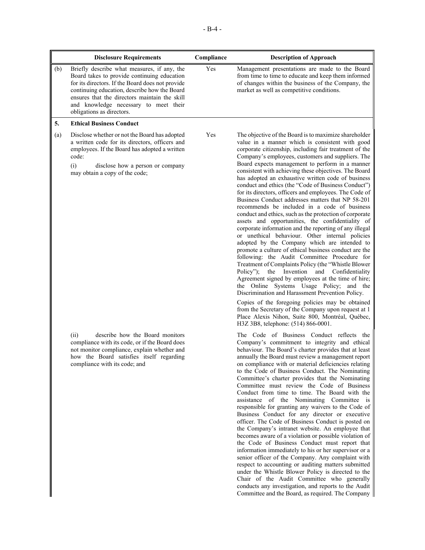|     | <b>Disclosure Requirements</b>                                                                                                                                                                                                                                                                                        | Compliance | <b>Description of Approach</b>                                                                                                                                                                                                                                                                                                                                                                                                                                                                                                                                                                                                                                                                                                                                                                                                                                                                                                                                                                                                                                                                                                                                                                                                                                                                                                                                                                                                                                            |
|-----|-----------------------------------------------------------------------------------------------------------------------------------------------------------------------------------------------------------------------------------------------------------------------------------------------------------------------|------------|---------------------------------------------------------------------------------------------------------------------------------------------------------------------------------------------------------------------------------------------------------------------------------------------------------------------------------------------------------------------------------------------------------------------------------------------------------------------------------------------------------------------------------------------------------------------------------------------------------------------------------------------------------------------------------------------------------------------------------------------------------------------------------------------------------------------------------------------------------------------------------------------------------------------------------------------------------------------------------------------------------------------------------------------------------------------------------------------------------------------------------------------------------------------------------------------------------------------------------------------------------------------------------------------------------------------------------------------------------------------------------------------------------------------------------------------------------------------------|
| (b) | Briefly describe what measures, if any, the<br>Board takes to provide continuing education<br>for its directors. If the Board does not provide<br>continuing education, describe how the Board<br>ensures that the directors maintain the skill<br>and knowledge necessary to meet their<br>obligations as directors. | Yes        | Management presentations are made to the Board<br>from time to time to educate and keep them informed<br>of changes within the business of the Company, the<br>market as well as competitive conditions.                                                                                                                                                                                                                                                                                                                                                                                                                                                                                                                                                                                                                                                                                                                                                                                                                                                                                                                                                                                                                                                                                                                                                                                                                                                                  |
| 5.  | <b>Ethical Business Conduct</b>                                                                                                                                                                                                                                                                                       |            |                                                                                                                                                                                                                                                                                                                                                                                                                                                                                                                                                                                                                                                                                                                                                                                                                                                                                                                                                                                                                                                                                                                                                                                                                                                                                                                                                                                                                                                                           |
| (a) | Disclose whether or not the Board has adopted<br>a written code for its directors, officers and<br>employees. If the Board has adopted a written<br>code:<br>(i)<br>disclose how a person or company<br>may obtain a copy of the code;                                                                                | Yes        | The objective of the Board is to maximize shareholder<br>value in a manner which is consistent with good<br>corporate citizenship, including fair treatment of the<br>Company's employees, customers and suppliers. The<br>Board expects management to perform in a manner<br>consistent with achieving these objectives. The Board<br>has adopted an exhaustive written code of business<br>conduct and ethics (the "Code of Business Conduct")<br>for its directors, officers and employees. The Code of<br>Business Conduct addresses matters that NP 58-201<br>recommends be included in a code of business<br>conduct and ethics, such as the protection of corporate<br>assets and opportunities, the confidentiality of<br>corporate information and the reporting of any illegal<br>or unethical behaviour. Other internal policies<br>adopted by the Company which are intended to<br>promote a culture of ethical business conduct are the<br>following: the Audit Committee Procedure for<br>Treatment of Complaints Policy (the "Whistle Blower<br>Policy");<br>the Invention and Confidentiality<br>Agreement signed by employees at the time of hire;<br>the Online Systems Usage Policy; and the<br>Discrimination and Harassment Prevention Policy.<br>Copies of the foregoing policies may be obtained<br>from the Secretary of the Company upon request at 1<br>Place Alexis Nihon, Suite 800, Montréal, Québec,<br>H3Z 3B8, telephone: (514) 866-0001. |
|     | describe how the Board monitors<br>(ii)<br>compliance with its code, or if the Board does<br>not monitor compliance, explain whether and<br>how the Board satisfies itself regarding<br>compliance with its code; and                                                                                                 |            | The Code of Business Conduct reflects the<br>Company's commitment to integrity and ethical<br>behaviour. The Board's charter provides that at least<br>annually the Board must review a management report<br>on compliance with or material deficiencies relating<br>to the Code of Business Conduct. The Nominating<br>Committee's charter provides that the Nominating<br>Committee must review the Code of Business<br>Conduct from time to time. The Board with the<br>assistance of the Nominating Committee is<br>responsible for granting any waivers to the Code of<br>Business Conduct for any director or executive<br>officer. The Code of Business Conduct is posted on<br>the Company's intranet website. An employee that<br>becomes aware of a violation or possible violation of<br>the Code of Business Conduct must report that<br>information immediately to his or her supervisor or a                                                                                                                                                                                                                                                                                                                                                                                                                                                                                                                                                                |

senior officer of the Company. Any complaint with respect to accounting or auditing matters submitted under the Whistle Blower Policy is directed to the Chair of the Audit Committee who generally conducts any investigation, and reports to the Audit Committee and the Board, as required. The Company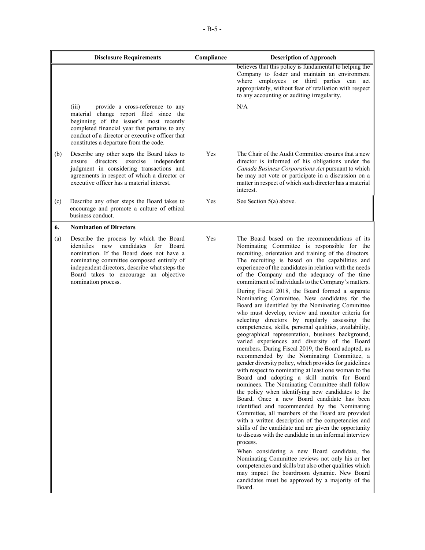|     | <b>Disclosure Requirements</b>                                                                                                                                                                                                                                                                         | Compliance | <b>Description of Approach</b>                                                                                                                                                                                                                                                                                                                                                                                                                                                                                                                                                                                                                                                                                                                                                                                                                                                                                                                                                                                                                                                                                                                                                                                                                                                                                                                                                                                                                                                                                                                                                                                                                                                                                                                                                                          |
|-----|--------------------------------------------------------------------------------------------------------------------------------------------------------------------------------------------------------------------------------------------------------------------------------------------------------|------------|---------------------------------------------------------------------------------------------------------------------------------------------------------------------------------------------------------------------------------------------------------------------------------------------------------------------------------------------------------------------------------------------------------------------------------------------------------------------------------------------------------------------------------------------------------------------------------------------------------------------------------------------------------------------------------------------------------------------------------------------------------------------------------------------------------------------------------------------------------------------------------------------------------------------------------------------------------------------------------------------------------------------------------------------------------------------------------------------------------------------------------------------------------------------------------------------------------------------------------------------------------------------------------------------------------------------------------------------------------------------------------------------------------------------------------------------------------------------------------------------------------------------------------------------------------------------------------------------------------------------------------------------------------------------------------------------------------------------------------------------------------------------------------------------------------|
|     |                                                                                                                                                                                                                                                                                                        |            | believes that this policy is fundamental to helping the<br>Company to foster and maintain an environment<br>where employees or third parties can act<br>appropriately, without fear of retaliation with respect<br>to any accounting or auditing irregularity.                                                                                                                                                                                                                                                                                                                                                                                                                                                                                                                                                                                                                                                                                                                                                                                                                                                                                                                                                                                                                                                                                                                                                                                                                                                                                                                                                                                                                                                                                                                                          |
|     | (iii)<br>provide a cross-reference to any<br>material change report filed since the<br>beginning of the issuer's most recently<br>completed financial year that pertains to any<br>conduct of a director or executive officer that<br>constitutes a departure from the code.                           |            | N/A                                                                                                                                                                                                                                                                                                                                                                                                                                                                                                                                                                                                                                                                                                                                                                                                                                                                                                                                                                                                                                                                                                                                                                                                                                                                                                                                                                                                                                                                                                                                                                                                                                                                                                                                                                                                     |
| (b) | Describe any other steps the Board takes to<br>directors<br>exercise independent<br>ensure<br>judgment in considering transactions and<br>agreements in respect of which a director or<br>executive officer has a material interest.                                                                   | Yes        | The Chair of the Audit Committee ensures that a new<br>director is informed of his obligations under the<br>Canada Business Corporations Act pursuant to which<br>he may not vote or participate in a discussion on a<br>matter in respect of which such director has a material<br>interest.                                                                                                                                                                                                                                                                                                                                                                                                                                                                                                                                                                                                                                                                                                                                                                                                                                                                                                                                                                                                                                                                                                                                                                                                                                                                                                                                                                                                                                                                                                           |
| (c) | Describe any other steps the Board takes to<br>encourage and promote a culture of ethical<br>business conduct.                                                                                                                                                                                         | Yes        | See Section 5(a) above.                                                                                                                                                                                                                                                                                                                                                                                                                                                                                                                                                                                                                                                                                                                                                                                                                                                                                                                                                                                                                                                                                                                                                                                                                                                                                                                                                                                                                                                                                                                                                                                                                                                                                                                                                                                 |
| 6.  | <b>Nomination of Directors</b>                                                                                                                                                                                                                                                                         |            |                                                                                                                                                                                                                                                                                                                                                                                                                                                                                                                                                                                                                                                                                                                                                                                                                                                                                                                                                                                                                                                                                                                                                                                                                                                                                                                                                                                                                                                                                                                                                                                                                                                                                                                                                                                                         |
| (a) | Describe the process by which the Board<br>identifies new<br>candidates for<br><b>Board</b><br>nomination. If the Board does not have a<br>nominating committee composed entirely of<br>independent directors, describe what steps the<br>Board takes to encourage an objective<br>nomination process. | Yes        | The Board based on the recommendations of its<br>Nominating Committee is responsible for the<br>recruiting, orientation and training of the directors.<br>The recruiting is based on the capabilities and<br>experience of the candidates in relation with the needs<br>of the Company and the adequacy of the time<br>commitment of individuals to the Company's matters.<br>During Fiscal 2018, the Board formed a separate<br>Nominating Committee. New candidates for the<br>Board are identified by the Nominating Committee<br>who must develop, review and monitor criteria for<br>selecting directors by regularly assessing the<br>competencies, skills, personal qualities, availability,<br>geographical representation, business background,<br>varied experiences and diversity of the Board<br>members. During Fiscal 2019, the Board adopted, as<br>recommended by the Nominating Committee, a<br>gender diversity policy, which provides for guidelines<br>with respect to nominating at least one woman to the<br>Board and adopting a skill matrix for Board<br>nominees. The Nominating Committee shall follow<br>the policy when identifying new candidates to the<br>Board. Once a new Board candidate has been<br>identified and recommended by the Nominating<br>Committee, all members of the Board are provided<br>with a written description of the competencies and<br>skills of the candidate and are given the opportunity<br>to discuss with the candidate in an informal interview<br>process.<br>When considering a new Board candidate, the<br>Nominating Committee reviews not only his or her<br>competencies and skills but also other qualities which<br>may impact the boardroom dynamic. New Board<br>candidates must be approved by a majority of the<br>Board. |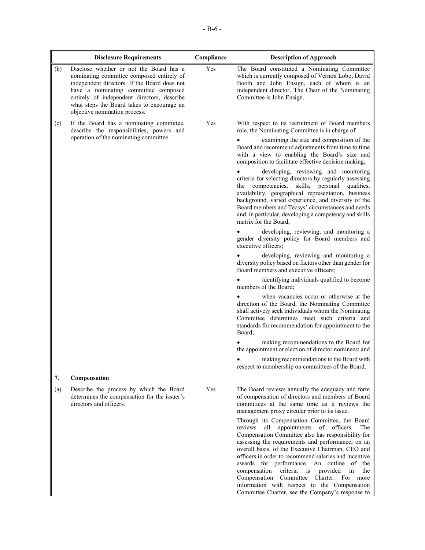|     | <b>Disclosure Requirements</b>                                                                                                                                                                                                                                                                             | Compliance | <b>Description of Approach</b>                                                                                                                                                                                                                                                                                                                                                                                                                                                                                                                                                                                                                                                                                                                                                                                                                                                                                                                                                                                                                                                                                                                                                                                                                                                                                                                                                                                                                                                            |
|-----|------------------------------------------------------------------------------------------------------------------------------------------------------------------------------------------------------------------------------------------------------------------------------------------------------------|------------|-------------------------------------------------------------------------------------------------------------------------------------------------------------------------------------------------------------------------------------------------------------------------------------------------------------------------------------------------------------------------------------------------------------------------------------------------------------------------------------------------------------------------------------------------------------------------------------------------------------------------------------------------------------------------------------------------------------------------------------------------------------------------------------------------------------------------------------------------------------------------------------------------------------------------------------------------------------------------------------------------------------------------------------------------------------------------------------------------------------------------------------------------------------------------------------------------------------------------------------------------------------------------------------------------------------------------------------------------------------------------------------------------------------------------------------------------------------------------------------------|
| (b) | Disclose whether or not the Board has a<br>nominating committee composed entirely of<br>independent directors. If the Board does not<br>have a nominating committee composed<br>entirely of independent directors, describe<br>what steps the Board takes to encourage an<br>objective nomination process. | Yes        | The Board constituted a Nominating Committee<br>which is currently composed of Vernon Lobo, David<br>Booth and John Ensign, each of whom is an<br>independent director. The Chair of the Nominating<br>Committee is John Ensign.                                                                                                                                                                                                                                                                                                                                                                                                                                                                                                                                                                                                                                                                                                                                                                                                                                                                                                                                                                                                                                                                                                                                                                                                                                                          |
| (c) | If the Board has a nominating committee,<br>describe the responsibilities, powers and<br>operation of the nominating committee.                                                                                                                                                                            | Yes        | With respect to its recruitment of Board members<br>role, the Nominating Committee is in charge of<br>examining the size and composition of the<br>Board and recommend adjustments from time to time<br>with a view to enabling the Board's size and<br>composition to facilitate effective decision making;<br>developing, reviewing and monitoring<br>criteria for selecting directors by regularly assessing<br>the competencies, skills, personal<br>qualities,<br>availability, geographical representation, business<br>background, varied experience, and diversity of the<br>Board members and Tecsys' circumstances and needs<br>and, in particular, developing a competency and skills<br>matrix for the Board:<br>developing, reviewing, and monitoring a<br>gender diversity policy for Board members and<br>executive officers;<br>developing, reviewing and monitoring a<br>diversity policy based on factors other than gender for<br>Board members and executive officers;<br>identifying individuals qualified to become<br>members of the Board:<br>when vacancies occur or otherwise at the<br>direction of the Board, the Nominating Committee<br>shall actively seek individuals whom the Nominating<br>Committee determines meet such criteria and<br>standards for recommendation for appointment to the<br>Board;<br>making recommendations to the Board for<br>the appointment or election of director nominees; and<br>making recommendations to the Board with |
|     |                                                                                                                                                                                                                                                                                                            |            | respect to membership on committees of the Board.                                                                                                                                                                                                                                                                                                                                                                                                                                                                                                                                                                                                                                                                                                                                                                                                                                                                                                                                                                                                                                                                                                                                                                                                                                                                                                                                                                                                                                         |
| 7.  | Compensation                                                                                                                                                                                                                                                                                               |            |                                                                                                                                                                                                                                                                                                                                                                                                                                                                                                                                                                                                                                                                                                                                                                                                                                                                                                                                                                                                                                                                                                                                                                                                                                                                                                                                                                                                                                                                                           |
| (a) | Describe the process by which the Board<br>determines the compensation for the issuer's<br>directors and officers.                                                                                                                                                                                         | Yes        | The Board reviews annually the adequacy and form<br>of compensation of directors and members of Board<br>committees at the same time as it reviews the<br>management proxy circular prior to its issue.<br>Through its Compensation Committee, the Board<br>appointments of officers.<br>all<br>The<br>reviews<br>Compensation Committee also has responsibility for<br>assessing the requirements and performance, on an<br>overall basis, of the Executive Chairman, CEO and<br>officers in order to recommend salaries and incentive<br>awards for performance. An outline of the<br>compensation<br>criteria<br>is<br>provided<br>in<br>the<br>Compensation Committee Charter. For more<br>information with respect to the Compensation<br>Committee Charter, see the Company's response to                                                                                                                                                                                                                                                                                                                                                                                                                                                                                                                                                                                                                                                                                           |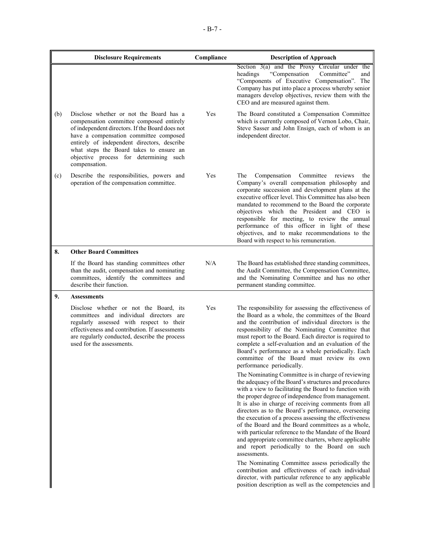|     | <b>Disclosure Requirements</b>                                                                                                                                                                                                                                                                                                        | Compliance | <b>Description of Approach</b>                                                                                                                                                                                                                                                                                                                                                                                                                                                                                                                                                                                                            |
|-----|---------------------------------------------------------------------------------------------------------------------------------------------------------------------------------------------------------------------------------------------------------------------------------------------------------------------------------------|------------|-------------------------------------------------------------------------------------------------------------------------------------------------------------------------------------------------------------------------------------------------------------------------------------------------------------------------------------------------------------------------------------------------------------------------------------------------------------------------------------------------------------------------------------------------------------------------------------------------------------------------------------------|
|     |                                                                                                                                                                                                                                                                                                                                       |            | Section $3(a)$ and the Proxy Circular under the<br>"Compensation"<br>Committee"<br>headings<br>and<br>"Components of Executive Compensation". The<br>Company has put into place a process whereby senior<br>managers develop objectives, review them with the<br>CEO and are measured against them.                                                                                                                                                                                                                                                                                                                                       |
| (b) | Disclose whether or not the Board has a<br>compensation committee composed entirely<br>of independent directors. If the Board does not<br>have a compensation committee composed<br>entirely of independent directors, describe<br>what steps the Board takes to ensure an<br>objective process for determining such<br>compensation. | Yes        | The Board constituted a Compensation Committee<br>which is currently composed of Vernon Lobo, Chair,<br>Steve Sasser and John Ensign, each of whom is an<br>independent director.                                                                                                                                                                                                                                                                                                                                                                                                                                                         |
| (c) | Describe the responsibilities, powers and<br>operation of the compensation committee.                                                                                                                                                                                                                                                 | Yes        | The<br>Compensation<br>Committee<br>reviews<br>the<br>Company's overall compensation philosophy and<br>corporate succession and development plans at the<br>executive officer level. This Committee has also been<br>mandated to recommend to the Board the corporate<br>objectives which the President and CEO is<br>responsible for meeting, to review the annual<br>performance of this officer in light of these<br>objectives, and to make recommendations to the<br>Board with respect to his remuneration.                                                                                                                         |
| 8.  | <b>Other Board Committees</b>                                                                                                                                                                                                                                                                                                         |            |                                                                                                                                                                                                                                                                                                                                                                                                                                                                                                                                                                                                                                           |
|     | If the Board has standing committees other<br>than the audit, compensation and nominating<br>committees, identify the committees and<br>describe their function.                                                                                                                                                                      | N/A        | The Board has established three standing committees,<br>the Audit Committee, the Compensation Committee,<br>and the Nominating Committee and has no other<br>permanent standing committee.                                                                                                                                                                                                                                                                                                                                                                                                                                                |
| 9.  | <b>Assessments</b>                                                                                                                                                                                                                                                                                                                    |            |                                                                                                                                                                                                                                                                                                                                                                                                                                                                                                                                                                                                                                           |
|     | Disclose whether or not the Board, its<br>committees and individual directors are<br>regularly assessed with respect to their<br>effectiveness and contribution. If assessments<br>are regularly conducted, describe the process<br>used for the assessments.                                                                         | Yes        | The responsibility for assessing the effectiveness of<br>the Board as a whole, the committees of the Board<br>and the contribution of individual directors is the<br>responsibility of the Nominating Committee that<br>must report to the Board. Each director is required to<br>complete a self-evaluation and an evaluation of the<br>Board's performance as a whole periodically. Each<br>committee of the Board must review its own<br>performance periodically.                                                                                                                                                                     |
|     |                                                                                                                                                                                                                                                                                                                                       |            | The Nominating Committee is in charge of reviewing<br>the adequacy of the Board's structures and procedures<br>with a view to facilitating the Board to function with<br>the proper degree of independence from management.<br>It is also in charge of receiving comments from all<br>directors as to the Board's performance, overseeing<br>the execution of a process assessing the effectiveness<br>of the Board and the Board committees as a whole,<br>with particular reference to the Mandate of the Board<br>and appropriate committee charters, where applicable<br>and report periodically to the Board on such<br>assessments. |
|     |                                                                                                                                                                                                                                                                                                                                       |            | The Nominating Committee assess periodically the<br>contribution and effectiveness of each individual<br>director, with particular reference to any applicable<br>position description as well as the competencies and                                                                                                                                                                                                                                                                                                                                                                                                                    |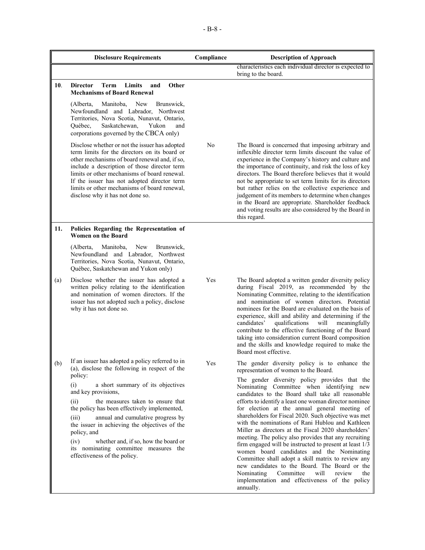|     | <b>Disclosure Requirements</b>                                                                                                                                                                                                                                                                                                                                                                                                                                                                                      | Compliance | <b>Description of Approach</b>                                                                                                                                                                                                                                                                                                                                                                                                                                                                                                                                                                                                                                                                                                                                                                                                                                                                                      |
|-----|---------------------------------------------------------------------------------------------------------------------------------------------------------------------------------------------------------------------------------------------------------------------------------------------------------------------------------------------------------------------------------------------------------------------------------------------------------------------------------------------------------------------|------------|---------------------------------------------------------------------------------------------------------------------------------------------------------------------------------------------------------------------------------------------------------------------------------------------------------------------------------------------------------------------------------------------------------------------------------------------------------------------------------------------------------------------------------------------------------------------------------------------------------------------------------------------------------------------------------------------------------------------------------------------------------------------------------------------------------------------------------------------------------------------------------------------------------------------|
|     |                                                                                                                                                                                                                                                                                                                                                                                                                                                                                                                     |            | characteristics each individual director is expected to<br>bring to the board.                                                                                                                                                                                                                                                                                                                                                                                                                                                                                                                                                                                                                                                                                                                                                                                                                                      |
| 10. | Other<br><b>Director</b><br>Limits<br>Term<br>and<br><b>Mechanisms of Board Renewal</b>                                                                                                                                                                                                                                                                                                                                                                                                                             |            |                                                                                                                                                                                                                                                                                                                                                                                                                                                                                                                                                                                                                                                                                                                                                                                                                                                                                                                     |
|     | (Alberta,<br>Manitoba,<br>New<br>Brunswick,<br>Newfoundland and Labrador, Northwest<br>Territories, Nova Scotia, Nunavut, Ontario,<br>Saskatchewan,<br>Yukon<br>Ouébec,<br>and<br>corporations governed by the CBCA only)                                                                                                                                                                                                                                                                                           |            |                                                                                                                                                                                                                                                                                                                                                                                                                                                                                                                                                                                                                                                                                                                                                                                                                                                                                                                     |
|     | Disclose whether or not the issuer has adopted<br>term limits for the directors on its board or<br>other mechanisms of board renewal and, if so,<br>include a description of those director term<br>limits or other mechanisms of board renewal.<br>If the issuer has not adopted director term<br>limits or other mechanisms of board renewal,<br>disclose why it has not done so.                                                                                                                                 | No         | The Board is concerned that imposing arbitrary and<br>inflexible director term limits discount the value of<br>experience in the Company's history and culture and<br>the importance of continuity, and risk the loss of key<br>directors. The Board therefore believes that it would<br>not be appropriate to set term limits for its directors<br>but rather relies on the collective experience and<br>judgement of its members to determine when changes<br>in the Board are appropriate. Shareholder feedback<br>and voting results are also considered by the Board in<br>this regard.                                                                                                                                                                                                                                                                                                                        |
| 11. | Policies Regarding the Representation of<br><b>Women on the Board</b>                                                                                                                                                                                                                                                                                                                                                                                                                                               |            |                                                                                                                                                                                                                                                                                                                                                                                                                                                                                                                                                                                                                                                                                                                                                                                                                                                                                                                     |
|     | (Alberta,<br>Manitoba,<br>New<br>Brunswick,<br>Newfoundland and Labrador, Northwest<br>Territories, Nova Scotia, Nunavut, Ontario,<br>Québec, Saskatchewan and Yukon only)                                                                                                                                                                                                                                                                                                                                          |            |                                                                                                                                                                                                                                                                                                                                                                                                                                                                                                                                                                                                                                                                                                                                                                                                                                                                                                                     |
| (a) | Disclose whether the issuer has adopted a<br>written policy relating to the identification<br>and nomination of women directors. If the<br>issuer has not adopted such a policy, disclose<br>why it has not done so.                                                                                                                                                                                                                                                                                                | Yes        | The Board adopted a written gender diversity policy<br>during Fiscal 2019, as recommended by the<br>Nominating Committee, relating to the identification<br>and nomination of women directors. Potential<br>nominees for the Board are evaluated on the basis of<br>experience, skill and ability and determining if the<br>qualifications<br>will<br>candidates'<br>meaningfully<br>contribute to the effective functioning of the Board<br>taking into consideration current Board composition<br>and the skills and knowledge required to make the<br>Board most effective.                                                                                                                                                                                                                                                                                                                                      |
| (b) | If an issuer has adopted a policy referred to in<br>(a), disclose the following in respect of the<br>policy:<br>(i)<br>a short summary of its objectives<br>and key provisions,<br>(ii)<br>the measures taken to ensure that<br>the policy has been effectively implemented,<br>(iii)<br>annual and cumulative progress by<br>the issuer in achieving the objectives of the<br>policy, and<br>(iv)<br>whether and, if so, how the board or<br>its nominating committee measures the<br>effectiveness of the policy. | Y es       | The gender diversity policy is to enhance the<br>representation of women to the Board.<br>The gender diversity policy provides that the<br>Nominating Committee when identifying new<br>candidates to the Board shall take all reasonable<br>efforts to identify a least one woman director nominee<br>for election at the annual general meeting of<br>shareholders for Fiscal 2020. Such objective was met<br>with the nominations of Rani Hublou and Kathleen<br>Miller as directors at the Fiscal 2020 shareholders'<br>meeting. The policy also provides that any recruiting<br>firm engaged will be instructed to present at least 1/3<br>women board candidates and the Nominating<br>Committee shall adopt a skill matrix to review any<br>new candidates to the Board. The Board or the<br>will<br>Nominating<br>Committee<br>review<br>the<br>implementation and effectiveness of the policy<br>annually. |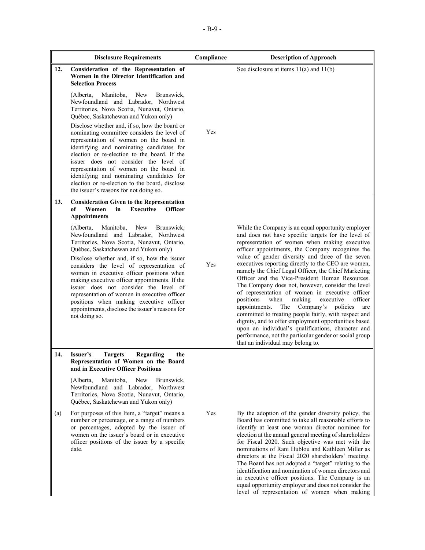|     | <b>Disclosure Requirements</b>                                                                                                                                                                                                                                                                                                                                                                                                                                    | Compliance | <b>Description of Approach</b>                                                                                                                                                                                                                                                                                                                                                                                                                                                                                                                                                                                                                                                                                 |
|-----|-------------------------------------------------------------------------------------------------------------------------------------------------------------------------------------------------------------------------------------------------------------------------------------------------------------------------------------------------------------------------------------------------------------------------------------------------------------------|------------|----------------------------------------------------------------------------------------------------------------------------------------------------------------------------------------------------------------------------------------------------------------------------------------------------------------------------------------------------------------------------------------------------------------------------------------------------------------------------------------------------------------------------------------------------------------------------------------------------------------------------------------------------------------------------------------------------------------|
| 12. | Consideration of the Representation of<br>Women in the Director Identification and<br><b>Selection Process</b>                                                                                                                                                                                                                                                                                                                                                    |            | See disclosure at items $11(a)$ and $11(b)$                                                                                                                                                                                                                                                                                                                                                                                                                                                                                                                                                                                                                                                                    |
|     | (Alberta,<br>Manitoba,<br>New<br>Brunswick,<br>Newfoundland and Labrador, Northwest<br>Territories, Nova Scotia, Nunavut, Ontario,<br>Québec, Saskatchewan and Yukon only)                                                                                                                                                                                                                                                                                        |            |                                                                                                                                                                                                                                                                                                                                                                                                                                                                                                                                                                                                                                                                                                                |
|     | Disclose whether and, if so, how the board or<br>nominating committee considers the level of<br>representation of women on the board in<br>identifying and nominating candidates for<br>election or re-election to the board. If the<br>issuer does not consider the level of<br>representation of women on the board in<br>identifying and nominating candidates for<br>election or re-election to the board, disclose<br>the issuer's reasons for not doing so. | Yes        |                                                                                                                                                                                                                                                                                                                                                                                                                                                                                                                                                                                                                                                                                                                |
| 13. | <b>Consideration Given to the Representation</b><br><b>Executive</b><br>of<br>Women<br>in<br><b>Officer</b><br><b>Appointments</b>                                                                                                                                                                                                                                                                                                                                |            |                                                                                                                                                                                                                                                                                                                                                                                                                                                                                                                                                                                                                                                                                                                |
|     | New<br>Manitoba,<br>Brunswick,<br>(Alberta,<br>Newfoundland and Labrador, Northwest<br>Territories, Nova Scotia, Nunavut, Ontario,<br>Québec, Saskatchewan and Yukon only)                                                                                                                                                                                                                                                                                        |            | While the Company is an equal opportunity employer<br>and does not have specific targets for the level of<br>representation of women when making executive<br>officer appointments, the Company recognizes the                                                                                                                                                                                                                                                                                                                                                                                                                                                                                                 |
|     | Disclose whether and, if so, how the issuer<br>considers the level of representation of<br>women in executive officer positions when<br>making executive officer appointments. If the<br>issuer does not consider the level of<br>representation of women in executive officer<br>positions when making executive officer<br>appointments, disclose the issuer's reasons for<br>not doing so.                                                                     | Yes        | value of gender diversity and three of the seven<br>executives reporting directly to the CEO are women,<br>namely the Chief Legal Officer, the Chief Marketing<br>Officer and the Vice-President Human Resources.<br>The Company does not, however, consider the level<br>of representation of women in executive officer<br>positions<br>when<br>officer<br>making<br>executive<br>appointments.<br>The<br>Company's<br>policies<br>are<br>committed to treating people fairly, with respect and<br>dignity, and to offer employment opportunities based<br>upon an individual's qualifications, character and<br>performance, not the particular gender or social group<br>that an individual may belong to. |
| 14. | Issuer's<br><b>Targets</b><br>Regarding<br>the<br>Representation of Women on the Board<br>and in Executive Officer Positions                                                                                                                                                                                                                                                                                                                                      |            |                                                                                                                                                                                                                                                                                                                                                                                                                                                                                                                                                                                                                                                                                                                |
|     | Manitoba,<br>New<br>Brunswick,<br>(Alberta,<br>Newfoundland and Labrador, Northwest<br>Territories, Nova Scotia, Nunavut, Ontario,<br>Québec, Saskatchewan and Yukon only)                                                                                                                                                                                                                                                                                        |            |                                                                                                                                                                                                                                                                                                                                                                                                                                                                                                                                                                                                                                                                                                                |
| (a) | For purposes of this Item, a "target" means a<br>number or percentage, or a range of numbers<br>or percentages, adopted by the issuer of<br>women on the issuer's board or in executive<br>officer positions of the issuer by a specific<br>date.                                                                                                                                                                                                                 | Yes        | By the adoption of the gender diversity policy, the<br>Board has committed to take all reasonable efforts to<br>identify at least one woman director nominee for<br>election at the annual general meeting of shareholders<br>for Fiscal 2020. Such objective was met with the<br>nominations of Rani Hublou and Kathleen Miller as<br>directors at the Fiscal 2020 shareholders' meeting.<br>The Board has not adopted a "target" relating to the<br>identification and nomination of women directors and                                                                                                                                                                                                     |

 $\overline{\phantom{a}}$ 

in executive officer positions. The Company is an equal opportunity employer and does not consider the level of representation of women when making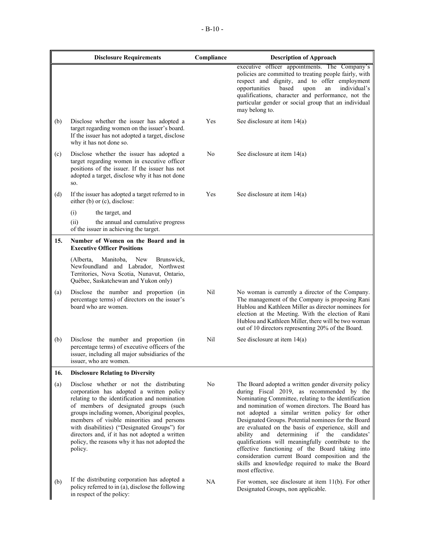|     | <b>Disclosure Requirements</b>                                                                                                                                                                                                                                                                                                                                                                                                            | Compliance | <b>Description of Approach</b>                                                                                                                                                                                                                                                                                                                                                                                                                                                                                                                                                                                                                                    |
|-----|-------------------------------------------------------------------------------------------------------------------------------------------------------------------------------------------------------------------------------------------------------------------------------------------------------------------------------------------------------------------------------------------------------------------------------------------|------------|-------------------------------------------------------------------------------------------------------------------------------------------------------------------------------------------------------------------------------------------------------------------------------------------------------------------------------------------------------------------------------------------------------------------------------------------------------------------------------------------------------------------------------------------------------------------------------------------------------------------------------------------------------------------|
|     |                                                                                                                                                                                                                                                                                                                                                                                                                                           |            | executive officer appointments. The Company's<br>policies are committed to treating people fairly, with<br>respect and dignity, and to offer employment<br>opportunities<br>based<br>individual's<br>upon<br>an<br>qualifications, character and performance, not the<br>particular gender or social group that an individual<br>may belong to.                                                                                                                                                                                                                                                                                                                   |
| (b) | Disclose whether the issuer has adopted a<br>target regarding women on the issuer's board.<br>If the issuer has not adopted a target, disclose<br>why it has not done so.                                                                                                                                                                                                                                                                 | Yes        | See disclosure at item 14(a)                                                                                                                                                                                                                                                                                                                                                                                                                                                                                                                                                                                                                                      |
| (c) | Disclose whether the issuer has adopted a<br>target regarding women in executive officer<br>positions of the issuer. If the issuer has not<br>adopted a target, disclose why it has not done<br>SO.                                                                                                                                                                                                                                       | No         | See disclosure at item 14(a)                                                                                                                                                                                                                                                                                                                                                                                                                                                                                                                                                                                                                                      |
| (d) | If the issuer has adopted a target referred to in<br>either (b) or (c), disclose:                                                                                                                                                                                                                                                                                                                                                         | Yes        | See disclosure at item 14(a)                                                                                                                                                                                                                                                                                                                                                                                                                                                                                                                                                                                                                                      |
|     | (i)<br>the target, and<br>(ii)<br>the annual and cumulative progress<br>of the issuer in achieving the target.                                                                                                                                                                                                                                                                                                                            |            |                                                                                                                                                                                                                                                                                                                                                                                                                                                                                                                                                                                                                                                                   |
| 15. | Number of Women on the Board and in<br><b>Executive Officer Positions</b>                                                                                                                                                                                                                                                                                                                                                                 |            |                                                                                                                                                                                                                                                                                                                                                                                                                                                                                                                                                                                                                                                                   |
|     | (Alberta,<br>Manitoba,<br>New<br>Brunswick,<br>Newfoundland and Labrador, Northwest<br>Territories, Nova Scotia, Nunavut, Ontario,<br>Québec, Saskatchewan and Yukon only)                                                                                                                                                                                                                                                                |            |                                                                                                                                                                                                                                                                                                                                                                                                                                                                                                                                                                                                                                                                   |
| (a) | Disclose the number and proportion (in<br>percentage terms) of directors on the issuer's<br>board who are women.                                                                                                                                                                                                                                                                                                                          | Nil        | No woman is currently a director of the Company.<br>The management of the Company is proposing Rani<br>Hublou and Kathleen Miller as director nominees for<br>election at the Meeting. With the election of Rani<br>Hublou and Kathleen Miller, there will be two woman<br>out of 10 directors representing 20% of the Board.                                                                                                                                                                                                                                                                                                                                     |
| (b) | Disclose the number and proportion (in<br>percentage terms) of executive officers of the<br>issuer, including all major subsidiaries of the<br>issuer, who are women.                                                                                                                                                                                                                                                                     | Nil        | See disclosure at item $14(a)$                                                                                                                                                                                                                                                                                                                                                                                                                                                                                                                                                                                                                                    |
| 16. | <b>Disclosure Relating to Diversity</b>                                                                                                                                                                                                                                                                                                                                                                                                   |            |                                                                                                                                                                                                                                                                                                                                                                                                                                                                                                                                                                                                                                                                   |
| (a) | Disclose whether or not the distributing<br>corporation has adopted a written policy<br>relating to the identification and nomination<br>of members of designated groups (such<br>groups including women, Aboriginal peoples,<br>members of visible minorities and persons<br>with disabilities) ("Designated Groups") for<br>directors and, if it has not adopted a written<br>policy, the reasons why it has not adopted the<br>policy. | No         | The Board adopted a written gender diversity policy<br>during Fiscal 2019, as recommended by the<br>Nominating Committee, relating to the identification<br>and nomination of women directors. The Board has<br>not adopted a similar written policy for other<br>Designated Groups. Potential nominees for the Board<br>are evaluated on the basis of experience, skill and<br>and<br>determining if the candidates'<br>ability<br>qualifications will meaningfully contribute to the<br>effective functioning of the Board taking into<br>consideration current Board composition and the<br>skills and knowledge required to make the Board<br>most effective. |
| (b) | If the distributing corporation has adopted a<br>policy referred to in (a), disclose the following<br>in respect of the policy:                                                                                                                                                                                                                                                                                                           | NA         | For women, see disclosure at item $11(b)$ . For other<br>Designated Groups, non applicable.                                                                                                                                                                                                                                                                                                                                                                                                                                                                                                                                                                       |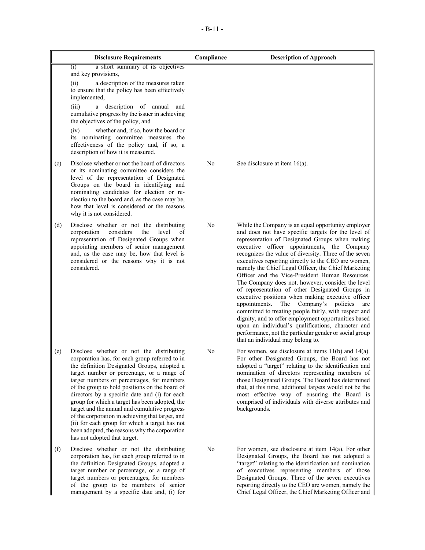| <b>Disclosure Requirements</b> |                                                                                                                                                                                                                                                                                                                                                                                                                                                                                                                                                                                                                                    | Compliance     | <b>Description of Approach</b>                                                                                                                                                                                                                                                                                                                                                                                                                                                                                                                                                                                                                                                                                                                                                                                                                                                                                             |
|--------------------------------|------------------------------------------------------------------------------------------------------------------------------------------------------------------------------------------------------------------------------------------------------------------------------------------------------------------------------------------------------------------------------------------------------------------------------------------------------------------------------------------------------------------------------------------------------------------------------------------------------------------------------------|----------------|----------------------------------------------------------------------------------------------------------------------------------------------------------------------------------------------------------------------------------------------------------------------------------------------------------------------------------------------------------------------------------------------------------------------------------------------------------------------------------------------------------------------------------------------------------------------------------------------------------------------------------------------------------------------------------------------------------------------------------------------------------------------------------------------------------------------------------------------------------------------------------------------------------------------------|
|                                | a short summary of its objectives<br>(i)<br>and key provisions,<br>(ii)<br>a description of the measures taken                                                                                                                                                                                                                                                                                                                                                                                                                                                                                                                     |                |                                                                                                                                                                                                                                                                                                                                                                                                                                                                                                                                                                                                                                                                                                                                                                                                                                                                                                                            |
|                                | to ensure that the policy has been effectively<br>implemented,<br>(iii)<br>a description of annual<br>and<br>cumulative progress by the issuer in achieving<br>the objectives of the policy, and                                                                                                                                                                                                                                                                                                                                                                                                                                   |                |                                                                                                                                                                                                                                                                                                                                                                                                                                                                                                                                                                                                                                                                                                                                                                                                                                                                                                                            |
|                                | whether and, if so, how the board or<br>(iv)<br>its nominating committee measures the<br>effectiveness of the policy and, if so, a<br>description of how it is measured.                                                                                                                                                                                                                                                                                                                                                                                                                                                           |                |                                                                                                                                                                                                                                                                                                                                                                                                                                                                                                                                                                                                                                                                                                                                                                                                                                                                                                                            |
| (c)                            | Disclose whether or not the board of directors<br>or its nominating committee considers the<br>level of the representation of Designated<br>Groups on the board in identifying and<br>nominating candidates for election or re-<br>election to the board and, as the case may be,<br>how that level is considered or the reasons<br>why it is not considered.                                                                                                                                                                                                                                                                      | No             | See disclosure at item $16(a)$ .                                                                                                                                                                                                                                                                                                                                                                                                                                                                                                                                                                                                                                                                                                                                                                                                                                                                                           |
| (d)                            | Disclose whether or not the distributing<br>corporation<br>considers<br>the<br>level<br>οf<br>representation of Designated Groups when<br>appointing members of senior management<br>and, as the case may be, how that level is<br>considered or the reasons why it is not<br>considered.                                                                                                                                                                                                                                                                                                                                          | N <sub>o</sub> | While the Company is an equal opportunity employer<br>and does not have specific targets for the level of<br>representation of Designated Groups when making<br>executive officer appointments, the Company<br>recognizes the value of diversity. Three of the seven<br>executives reporting directly to the CEO are women,<br>namely the Chief Legal Officer, the Chief Marketing<br>Officer and the Vice-President Human Resources.<br>The Company does not, however, consider the level<br>of representation of other Designated Groups in<br>executive positions when making executive officer<br>appointments.<br>The Company's policies<br>are<br>committed to treating people fairly, with respect and<br>dignity, and to offer employment opportunities based<br>upon an individual's qualifications, character and<br>performance, not the particular gender or social group<br>that an individual may belong to. |
| (e)                            | Disclose whether or not the distributing<br>corporation has, for each group referred to in<br>the definition Designated Groups, adopted a<br>target number or percentage, or a range of<br>target numbers or percentages, for members<br>of the group to hold positions on the board of<br>directors by a specific date and (i) for each<br>group for which a target has been adopted, the<br>target and the annual and cumulative progress<br>of the corporation in achieving that target, and<br>(ii) for each group for which a target has not<br>been adopted, the reasons why the corporation<br>has not adopted that target. | No             | For women, see disclosure at items $11(b)$ and $14(a)$ .<br>For other Designated Groups, the Board has not<br>adopted a "target" relating to the identification and<br>nomination of directors representing members of<br>those Designated Groups. The Board has determined<br>that, at this time, additional targets would not be the<br>most effective way of ensuring the Board is<br>comprised of individuals with diverse attributes and<br>backgrounds.                                                                                                                                                                                                                                                                                                                                                                                                                                                              |
| (f)                            | Disclose whether or not the distributing<br>corporation has, for each group referred to in<br>the definition Designated Groups, adopted a<br>target number or percentage, or a range of<br>target numbers or percentages, for members<br>of the group to be members of senior<br>management by a specific date and, (i) for                                                                                                                                                                                                                                                                                                        | No             | For women, see disclosure at item $14(a)$ . For other<br>Designated Groups, the Board has not adopted a<br>"target" relating to the identification and nomination<br>of executives representing members of those<br>Designated Groups. Three of the seven executives<br>reporting directly to the CEO are women, namely the<br>Chief Legal Officer, the Chief Marketing Officer and                                                                                                                                                                                                                                                                                                                                                                                                                                                                                                                                        |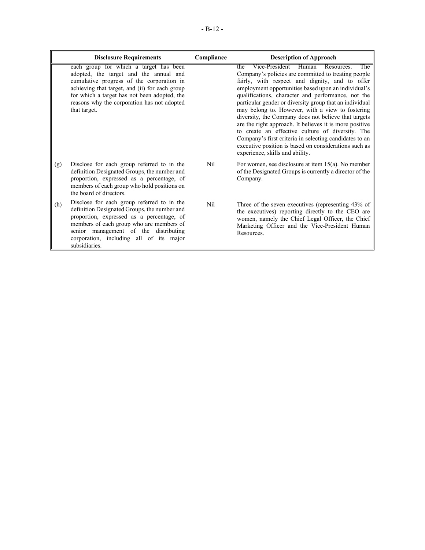|     | <b>Disclosure Requirements</b>                                                                                                                                                                                                                                                                 | Compliance      | <b>Description of Approach</b>                                                                                                                                                                                                                                                                                                                                                                                                                                                                                                                                                                                                                                                                                  |
|-----|------------------------------------------------------------------------------------------------------------------------------------------------------------------------------------------------------------------------------------------------------------------------------------------------|-----------------|-----------------------------------------------------------------------------------------------------------------------------------------------------------------------------------------------------------------------------------------------------------------------------------------------------------------------------------------------------------------------------------------------------------------------------------------------------------------------------------------------------------------------------------------------------------------------------------------------------------------------------------------------------------------------------------------------------------------|
|     | each group for which a target has been<br>adopted, the target and the annual and<br>cumulative progress of the corporation in<br>achieving that target, and (ii) for each group<br>for which a target has not been adopted, the<br>reasons why the corporation has not adopted<br>that target. |                 | Vice-President Human Resources.<br>The<br>the<br>Company's policies are committed to treating people<br>fairly, with respect and dignity, and to offer<br>employment opportunities based upon an individual's<br>qualifications, character and performance, not the<br>particular gender or diversity group that an individual<br>may belong to. However, with a view to fostering<br>diversity, the Company does not believe that targets<br>are the right approach. It believes it is more positive<br>to create an effective culture of diversity. The<br>Company's first criteria in selecting candidates to an<br>executive position is based on considerations such as<br>experience, skills and ability. |
| (g) | Disclose for each group referred to in the<br>definition Designated Groups, the number and<br>proportion, expressed as a percentage, of<br>members of each group who hold positions on<br>the board of directors.                                                                              | Nil             | For women, see disclosure at item $15(a)$ . No member<br>of the Designated Groups is currently a director of the<br>Company.                                                                                                                                                                                                                                                                                                                                                                                                                                                                                                                                                                                    |
| (h) | Disclose for each group referred to in the<br>definition Designated Groups, the number and<br>proportion, expressed as a percentage, of<br>members of each group who are members of<br>senior management of the distributing<br>corporation, including all of its major<br>subsidiaries.       | N <sub>il</sub> | Three of the seven executives (representing 43% of<br>the executives) reporting directly to the CEO are<br>women, namely the Chief Legal Officer, the Chief<br>Marketing Officer and the Vice-President Human<br>Resources.                                                                                                                                                                                                                                                                                                                                                                                                                                                                                     |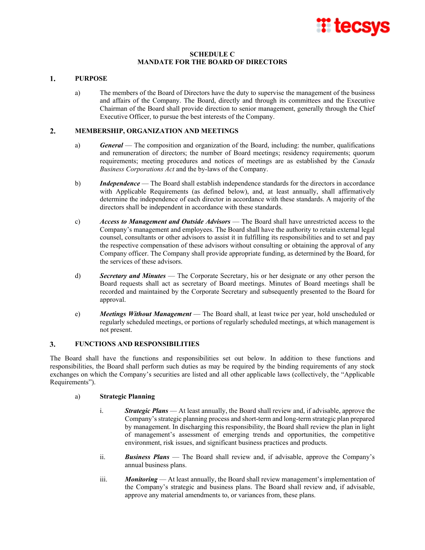

## **SCHEDULE C MANDATE FOR THE BOARD OF DIRECTORS**

#### $\mathbf{1}$ . **PURPOSE**

a) The members of the Board of Directors have the duty to supervise the management of the business and affairs of the Company. The Board, directly and through its committees and the Executive Chairman of the Board shall provide direction to senior management, generally through the Chief Executive Officer, to pursue the best interests of the Company.

#### $2.$ **MEMBERSHIP, ORGANIZATION AND MEETINGS**

- a) *General* The composition and organization of the Board, including: the number, qualifications and remuneration of directors; the number of Board meetings; residency requirements; quorum requirements; meeting procedures and notices of meetings are as established by the *Canada Business Corporations Act* and the by-laws of the Company.
- b) *Independence* The Board shall establish independence standards for the directors in accordance with Applicable Requirements (as defined below), and, at least annually, shall affirmatively determine the independence of each director in accordance with these standards. A majority of the directors shall be independent in accordance with these standards.
- c) *Access to Management and Outside Advisors* The Board shall have unrestricted access to the Company's management and employees. The Board shall have the authority to retain external legal counsel, consultants or other advisors to assist it in fulfilling its responsibilities and to set and pay the respective compensation of these advisors without consulting or obtaining the approval of any Company officer. The Company shall provide appropriate funding, as determined by the Board, for the services of these advisors.
- d) *Secretary and Minutes* The Corporate Secretary, his or her designate or any other person the Board requests shall act as secretary of Board meetings. Minutes of Board meetings shall be recorded and maintained by the Corporate Secretary and subsequently presented to the Board for approval.
- e) *Meetings Without Management* The Board shall, at least twice per year, hold unscheduled or regularly scheduled meetings, or portions of regularly scheduled meetings, at which management is not present.

#### $3.$ **FUNCTIONS AND RESPONSIBILITIES**

The Board shall have the functions and responsibilities set out below. In addition to these functions and responsibilities, the Board shall perform such duties as may be required by the binding requirements of any stock exchanges on which the Company's securities are listed and all other applicable laws (collectively, the "Applicable Requirements").

## a) **Strategic Planning**

- i. *Strategic Plans* At least annually, the Board shall review and, if advisable, approve the Company's strategic planning process and short-term and long-term strategic plan prepared by management. In discharging this responsibility, the Board shall review the plan in light of management's assessment of emerging trends and opportunities, the competitive environment, risk issues, and significant business practices and products.
- ii. *Business Plans* The Board shall review and, if advisable, approve the Company's annual business plans.
- iii. *Monitoring* At least annually, the Board shall review management's implementation of the Company's strategic and business plans. The Board shall review and, if advisable, approve any material amendments to, or variances from, these plans.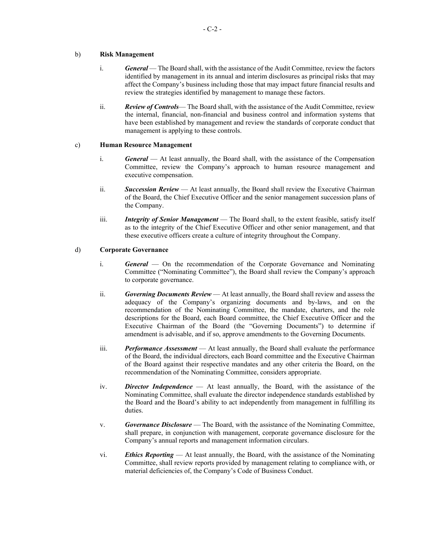## b) **Risk Management**

- i. *General* The Board shall, with the assistance of the Audit Committee, review the factors identified by management in its annual and interim disclosures as principal risks that may affect the Company's business including those that may impact future financial results and review the strategies identified by management to manage these factors.
- ii. *Review of Controls* The Board shall, with the assistance of the Audit Committee, review the internal, financial, non-financial and business control and information systems that have been established by management and review the standards of corporate conduct that management is applying to these controls.

## c) **Human Resource Management**

- i. *General* At least annually, the Board shall, with the assistance of the Compensation Committee, review the Company's approach to human resource management and executive compensation.
- ii. *Succession Review* At least annually, the Board shall review the Executive Chairman of the Board, the Chief Executive Officer and the senior management succession plans of the Company.
- iii. *Integrity of Senior Management* The Board shall, to the extent feasible, satisfy itself as to the integrity of the Chief Executive Officer and other senior management, and that these executive officers create a culture of integrity throughout the Company.

## d) **Corporate Governance**

- i. *General* On the recommendation of the Corporate Governance and Nominating Committee ("Nominating Committee"), the Board shall review the Company's approach to corporate governance.
- ii. *Governing Documents Review* At least annually, the Board shall review and assess the adequacy of the Company's organizing documents and by-laws, and on the recommendation of the Nominating Committee, the mandate, charters, and the role descriptions for the Board, each Board committee, the Chief Executive Officer and the Executive Chairman of the Board (the "Governing Documents") to determine if amendment is advisable, and if so, approve amendments to the Governing Documents.
- iii. *Performance Assessment* At least annually, the Board shall evaluate the performance of the Board, the individual directors, each Board committee and the Executive Chairman of the Board against their respective mandates and any other criteria the Board, on the recommendation of the Nominating Committee, considers appropriate.
- iv. *Director Independence* At least annually, the Board, with the assistance of the Nominating Committee, shall evaluate the director independence standards established by the Board and the Board's ability to act independently from management in fulfilling its duties.
- v. *Governance Disclosure* The Board, with the assistance of the Nominating Committee, shall prepare, in conjunction with management, corporate governance disclosure for the Company's annual reports and management information circulars.
- vi. *Ethics Reporting* At least annually, the Board, with the assistance of the Nominating Committee, shall review reports provided by management relating to compliance with, or material deficiencies of, the Company's Code of Business Conduct.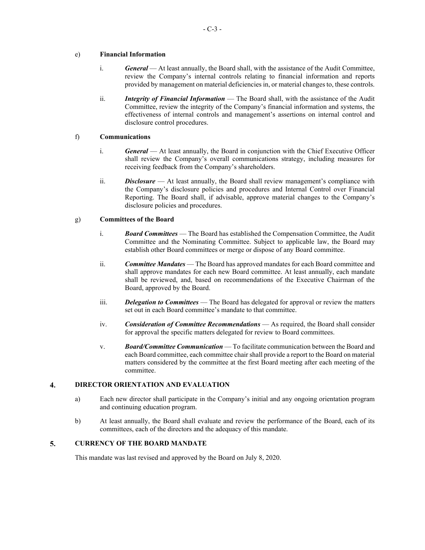## e) **Financial Information**

- i. *General* At least annually, the Board shall, with the assistance of the Audit Committee, review the Company's internal controls relating to financial information and reports provided by management on material deficiencies in, or material changes to, these controls.
- ii. *Integrity of Financial Information* The Board shall, with the assistance of the Audit Committee, review the integrity of the Company's financial information and systems, the effectiveness of internal controls and management's assertions on internal control and disclosure control procedures.

## f) **Communications**

- i. *General* At least annually, the Board in conjunction with the Chief Executive Officer shall review the Company's overall communications strategy, including measures for receiving feedback from the Company's shareholders.
- ii. *Disclosure* At least annually, the Board shall review management's compliance with the Company's disclosure policies and procedures and Internal Control over Financial Reporting. The Board shall, if advisable, approve material changes to the Company's disclosure policies and procedures.

# g) **Committees of the Board**

- i. *Board Committees* The Board has established the Compensation Committee, the Audit Committee and the Nominating Committee. Subject to applicable law, the Board may establish other Board committees or merge or dispose of any Board committee.
- ii. *Committee Mandates* The Board has approved mandates for each Board committee and shall approve mandates for each new Board committee. At least annually, each mandate shall be reviewed, and, based on recommendations of the Executive Chairman of the Board, approved by the Board.
- iii. *Delegation to Committees* The Board has delegated for approval or review the matters set out in each Board committee's mandate to that committee.
- iv. *Consideration of Committee Recommendations* As required, the Board shall consider for approval the specific matters delegated for review to Board committees.
- v. *Board/Committee Communication* To facilitate communication between the Board and each Board committee, each committee chair shall provide a report to the Board on material matters considered by the committee at the first Board meeting after each meeting of the committee.

#### 4. **DIRECTOR ORIENTATION AND EVALUATION**

- a) Each new director shall participate in the Company's initial and any ongoing orientation program and continuing education program.
- b) At least annually, the Board shall evaluate and review the performance of the Board, each of its committees, each of the directors and the adequacy of this mandate.

#### 5. **CURRENCY OF THE BOARD MANDATE**

This mandate was last revised and approved by the Board on July 8, 2020.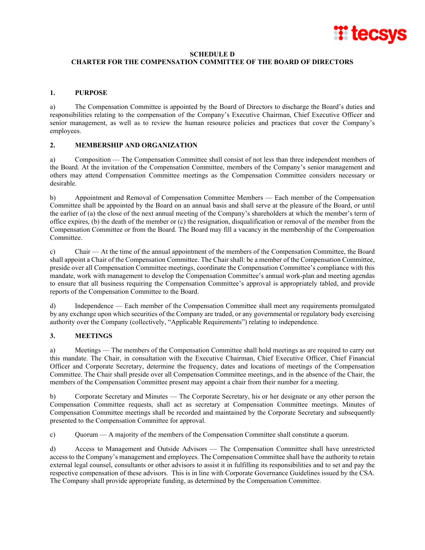

## **SCHEDULE D**

# **CHARTER FOR THE COMPENSATION COMMITTEE OF THE BOARD OF DIRECTORS**

## **1. PURPOSE**

a) The Compensation Committee is appointed by the Board of Directors to discharge the Board's duties and responsibilities relating to the compensation of the Company's Executive Chairman, Chief Executive Officer and senior management, as well as to review the human resource policies and practices that cover the Company's employees.

# **2. MEMBERSHIP AND ORGANIZATION**

a) Composition — The Compensation Committee shall consist of not less than three independent members of the Board. At the invitation of the Compensation Committee, members of the Company's senior management and others may attend Compensation Committee meetings as the Compensation Committee considers necessary or desirable.

b) Appointment and Removal of Compensation Committee Members — Each member of the Compensation Committee shall be appointed by the Board on an annual basis and shall serve at the pleasure of the Board, or until the earlier of (a) the close of the next annual meeting of the Company's shareholders at which the member's term of office expires, (b) the death of the member or (c) the resignation, disqualification or removal of the member from the Compensation Committee or from the Board. The Board may fill a vacancy in the membership of the Compensation Committee.

c) Chair — At the time of the annual appointment of the members of the Compensation Committee, the Board shall appoint a Chair of the Compensation Committee. The Chair shall: be a member of the Compensation Committee, preside over all Compensation Committee meetings, coordinate the Compensation Committee's compliance with this mandate, work with management to develop the Compensation Committee's annual work-plan and meeting agendas to ensure that all business requiring the Compensation Committee's approval is appropriately tabled, and provide reports of the Compensation Committee to the Board.

d) Independence — Each member of the Compensation Committee shall meet any requirements promulgated by any exchange upon which securities of the Company are traded, or any governmental or regulatory body exercising authority over the Company (collectively, "Applicable Requirements") relating to independence.

# **3. MEETINGS**

a) Meetings — The members of the Compensation Committee shall hold meetings as are required to carry out this mandate. The Chair, in consultation with the Executive Chairman, Chief Executive Officer, Chief Financial Officer and Corporate Secretary, determine the frequency, dates and locations of meetings of the Compensation Committee. The Chair shall preside over all Compensation Committee meetings, and in the absence of the Chair, the members of the Compensation Committee present may appoint a chair from their number for a meeting.

b) Corporate Secretary and Minutes — The Corporate Secretary, his or her designate or any other person the Compensation Committee requests, shall act as secretary at Compensation Committee meetings. Minutes of Compensation Committee meetings shall be recorded and maintained by the Corporate Secretary and subsequently presented to the Compensation Committee for approval.

c) Quorum — A majority of the members of the Compensation Committee shall constitute a quorum.

d) Access to Management and Outside Advisors — The Compensation Committee shall have unrestricted access to the Company's management and employees. The Compensation Committee shall have the authority to retain external legal counsel, consultants or other advisors to assist it in fulfilling its responsibilities and to set and pay the respective compensation of these advisors. This is in line with Corporate Governance Guidelines issued by the CSA. The Company shall provide appropriate funding, as determined by the Compensation Committee.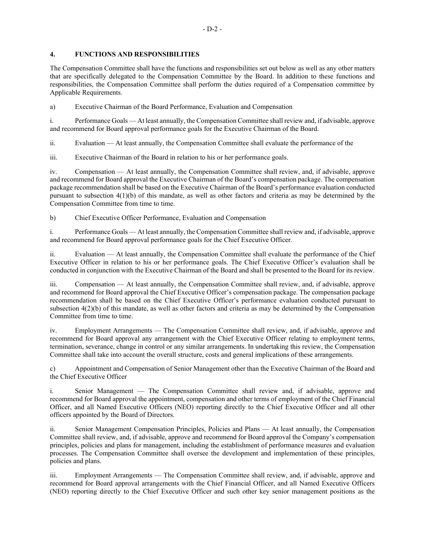# **4. FUNCTIONS AND RESPONSIBILITIES**

The Compensation Committee shall have the functions and responsibilities set out below as well as any other matters that are specifically delegated to the Compensation Committee by the Board. In addition to these functions and responsibilities, the Compensation Committee shall perform the duties required of a Compensation committee by Applicable Requirements.

a) Executive Chairman of the Board Performance, Evaluation and Compensation

i. Performance Goals — At least annually, the Compensation Committee shall review and, if advisable, approve and recommend for Board approval performance goals for the Executive Chairman of the Board.

ii. Evaluation — At least annually, the Compensation Committee shall evaluate the performance of the

iii. Executive Chairman of the Board in relation to his or her performance goals.

iv. Compensation — At least annually, the Compensation Committee shall review, and, if advisable, approve and recommend for Board approval the Executive Chairman of the Board's compensation package. The compensation package recommendation shall be based on the Executive Chairman of the Board's performance evaluation conducted pursuant to subsection 4(1)(b) of this mandate, as well as other factors and criteria as may be determined by the Compensation Committee from time to time.

b) Chief Executive Officer Performance, Evaluation and Compensation

i. Performance Goals — At least annually, the Compensation Committee shall review and, if advisable, approve and recommend for Board approval performance goals for the Chief Executive Officer.

ii. Evaluation — At least annually, the Compensation Committee shall evaluate the performance of the Chief Executive Officer in relation to his or her performance goals. The Chief Executive Officer's evaluation shall be conducted in conjunction with the Executive Chairman of the Board and shall be presented to the Board for its review.

iii. Compensation — At least annually, the Compensation Committee shall review, and, if advisable, approve and recommend for Board approval the Chief Executive Officer's compensation package. The compensation package recommendation shall be based on the Chief Executive Officer's performance evaluation conducted pursuant to subsection 4(2)(b) of this mandate, as well as other factors and criteria as may be determined by the Compensation Committee from time to time.

iv. Employment Arrangements — The Compensation Committee shall review, and, if advisable, approve and recommend for Board approval any arrangement with the Chief Executive Officer relating to employment terms, termination, severance, change in control or any similar arrangements. In undertaking this review, the Compensation Committee shall take into account the overall structure, costs and general implications of these arrangements.

c) Appointment and Compensation of Senior Management other than the Executive Chairman of the Board and the Chief Executive Officer

i. Senior Management — The Compensation Committee shall review and, if advisable, approve and recommend for Board approval the appointment, compensation and other terms of employment of the Chief Financial Officer, and all Named Executive Officers (NEO) reporting directly to the Chief Executive Officer and all other officers appointed by the Board of Directors.

ii. Senior Management Compensation Principles, Policies and Plans — At least annually, the Compensation Committee shall review, and, if advisable, approve and recommend for Board approval the Company's compensation principles, policies and plans for management, including the establishment of performance measures and evaluation processes. The Compensation Committee shall oversee the development and implementation of these principles, policies and plans.

iii. Employment Arrangements — The Compensation Committee shall review, and, if advisable, approve and recommend for Board approval arrangements with the Chief Financial Officer, and all Named Executive Officers (NEO) reporting directly to the Chief Executive Officer and such other key senior management positions as the